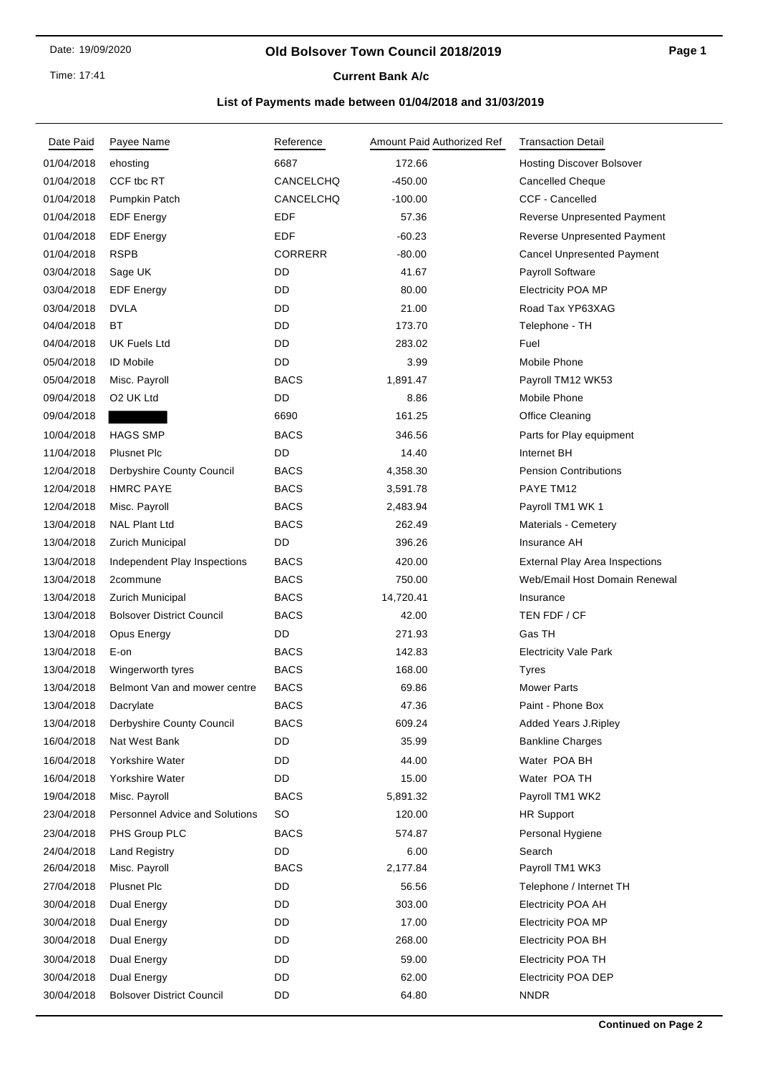#### **Old Bolsover Town Council 2018/2019**

**Current Bank A/c** 

| Date Paid  | Payee Name                            | Reference      | Amount Paid Authorized Ref | <b>Transaction Detail</b>             |
|------------|---------------------------------------|----------------|----------------------------|---------------------------------------|
| 01/04/2018 | ehosting                              | 6687           | 172.66                     | <b>Hosting Discover Bolsover</b>      |
| 01/04/2018 | CCF tbc RT                            | CANCELCHQ      | $-450.00$                  | Cancelled Cheque                      |
| 01/04/2018 | Pumpkin Patch                         | CANCELCHQ      | $-100.00$                  | CCF - Cancelled                       |
| 01/04/2018 | <b>EDF Energy</b>                     | EDF            | 57.36                      | Reverse Unpresented Payment           |
| 01/04/2018 | <b>EDF Energy</b>                     | EDF            | $-60.23$                   | Reverse Unpresented Payment           |
| 01/04/2018 | <b>RSPB</b>                           | <b>CORRERR</b> | $-80.00$                   | <b>Cancel Unpresented Payment</b>     |
| 03/04/2018 | Sage UK                               | DD             | 41.67                      | Payroll Software                      |
| 03/04/2018 | <b>EDF Energy</b>                     | DD             | 80.00                      | <b>Electricity POA MP</b>             |
| 03/04/2018 | <b>DVLA</b>                           | DD             | 21.00                      | Road Tax YP63XAG                      |
| 04/04/2018 | ВT                                    | DD             | 173.70                     | Telephone - TH                        |
| 04/04/2018 | <b>UK Fuels Ltd</b>                   | DD             | 283.02                     | Fuel                                  |
| 05/04/2018 | <b>ID Mobile</b>                      | DD             | 3.99                       | Mobile Phone                          |
| 05/04/2018 | Misc. Payroll                         | <b>BACS</b>    | 1,891.47                   | Payroll TM12 WK53                     |
| 09/04/2018 | O2 UK Ltd                             | DD             | 8.86                       | Mobile Phone                          |
| 09/04/2018 |                                       | 6690           | 161.25                     | Office Cleaning                       |
| 10/04/2018 | <b>HAGS SMP</b>                       | <b>BACS</b>    | 346.56                     | Parts for Play equipment              |
| 11/04/2018 | <b>Plusnet Plc</b>                    | DD             | 14.40                      | Internet BH                           |
| 12/04/2018 | Derbyshire County Council             | <b>BACS</b>    | 4,358.30                   | <b>Pension Contributions</b>          |
| 12/04/2018 | <b>HMRC PAYE</b>                      | <b>BACS</b>    | 3,591.78                   | PAYE TM12                             |
| 12/04/2018 | Misc. Payroll                         | <b>BACS</b>    | 2,483.94                   | Payroll TM1 WK 1                      |
| 13/04/2018 | <b>NAL Plant Ltd</b>                  | <b>BACS</b>    | 262.49                     | Materials - Cemetery                  |
| 13/04/2018 | Zurich Municipal                      | DD             | 396.26                     | Insurance AH                          |
| 13/04/2018 | Independent Play Inspections          | <b>BACS</b>    | 420.00                     | <b>External Play Area Inspections</b> |
| 13/04/2018 | 2commune                              | <b>BACS</b>    | 750.00                     | Web/Email Host Domain Renewal         |
| 13/04/2018 | Zurich Municipal                      | <b>BACS</b>    | 14,720.41                  | Insurance                             |
| 13/04/2018 | <b>Bolsover District Council</b>      | <b>BACS</b>    | 42.00                      | TEN FDF / CF                          |
| 13/04/2018 | Opus Energy                           | DD             | 271.93                     | Gas TH                                |
| 13/04/2018 | E-on                                  | <b>BACS</b>    | 142.83                     | <b>Electricity Vale Park</b>          |
| 13/04/2018 | Wingerworth tyres                     | <b>BACS</b>    | 168.00                     | <b>Tyres</b>                          |
| 13/04/2018 | Belmont Van and mower centre          | <b>BACS</b>    | 69.86                      | <b>Mower Parts</b>                    |
| 13/04/2018 | Dacrylate                             | <b>BACS</b>    | 47.36                      | Paint - Phone Box                     |
| 13/04/2018 | Derbyshire County Council             | <b>BACS</b>    | 609.24                     | <b>Added Years J.Ripley</b>           |
| 16/04/2018 | Nat West Bank                         | DD             | 35.99                      | <b>Bankline Charges</b>               |
| 16/04/2018 | Yorkshire Water                       | DD             | 44.00                      | Water POA BH                          |
| 16/04/2018 | Yorkshire Water                       | DD             | 15.00                      | Water POA TH                          |
| 19/04/2018 | Misc. Payroll                         | <b>BACS</b>    | 5,891.32                   | Payroll TM1 WK2                       |
| 23/04/2018 | <b>Personnel Advice and Solutions</b> | SO             | 120.00                     | <b>HR Support</b>                     |
| 23/04/2018 | PHS Group PLC                         | <b>BACS</b>    | 574.87                     | Personal Hygiene                      |
| 24/04/2018 | <b>Land Registry</b>                  | DD             | 6.00                       | Search                                |
| 26/04/2018 | Misc. Payroll                         | <b>BACS</b>    | 2,177.84                   | Payroll TM1 WK3                       |
| 27/04/2018 | <b>Plusnet Plc</b>                    | DD             | 56.56                      | Telephone / Internet TH               |
| 30/04/2018 | Dual Energy                           | DD             | 303.00                     | <b>Electricity POA AH</b>             |
| 30/04/2018 | Dual Energy                           | DD             | 17.00                      | <b>Electricity POA MP</b>             |
| 30/04/2018 | Dual Energy                           | DD             | 268.00                     | <b>Electricity POA BH</b>             |
| 30/04/2018 | Dual Energy                           | DD             | 59.00                      | <b>Electricity POA TH</b>             |
| 30/04/2018 | Dual Energy                           | DD             | 62.00                      | <b>Electricity POA DEP</b>            |
| 30/04/2018 | <b>Bolsover District Council</b>      | DD             | 64.80                      | <b>NNDR</b>                           |
|            |                                       |                |                            |                                       |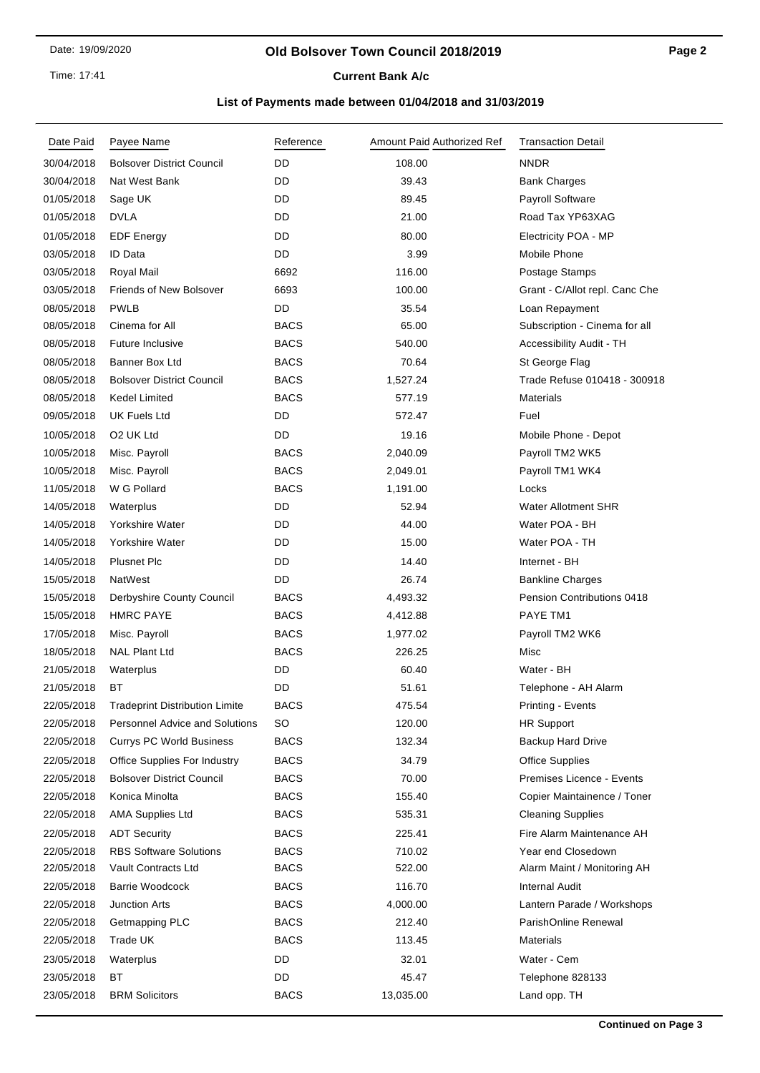#### **Old Bolsover Town Council 2018/2019**

**Current Bank A/c** 

| Date Paid  | Payee Name                            | Reference   | Amount Paid Authorized Ref | <b>Transaction Detail</b>      |
|------------|---------------------------------------|-------------|----------------------------|--------------------------------|
| 30/04/2018 | <b>Bolsover District Council</b>      | DD          | 108.00                     | <b>NNDR</b>                    |
| 30/04/2018 | Nat West Bank                         | DD          | 39.43                      | <b>Bank Charges</b>            |
| 01/05/2018 | Sage UK                               | DD          | 89.45                      | Payroll Software               |
| 01/05/2018 | <b>DVLA</b>                           | DD          | 21.00                      | Road Tax YP63XAG               |
| 01/05/2018 | <b>EDF</b> Energy                     | DD          | 80.00                      | Electricity POA - MP           |
| 03/05/2018 | ID Data                               | DD          | 3.99                       | Mobile Phone                   |
| 03/05/2018 | Royal Mail                            | 6692        | 116.00                     | Postage Stamps                 |
| 03/05/2018 | <b>Friends of New Bolsover</b>        | 6693        | 100.00                     | Grant - C/Allot repl. Canc Che |
| 08/05/2018 | <b>PWLB</b>                           | DD          | 35.54                      | Loan Repayment                 |
| 08/05/2018 | Cinema for All                        | <b>BACS</b> | 65.00                      | Subscription - Cinema for all  |
| 08/05/2018 | Future Inclusive                      | <b>BACS</b> | 540.00                     | Accessibility Audit - TH       |
| 08/05/2018 | Banner Box Ltd                        | <b>BACS</b> | 70.64                      | St George Flag                 |
| 08/05/2018 | <b>Bolsover District Council</b>      | <b>BACS</b> | 1,527.24                   | Trade Refuse 010418 - 300918   |
| 08/05/2018 | <b>Kedel Limited</b>                  | <b>BACS</b> | 577.19                     | <b>Materials</b>               |
| 09/05/2018 | <b>UK Fuels Ltd</b>                   | DD          | 572.47                     | Fuel                           |
| 10/05/2018 | O <sub>2</sub> UK Ltd                 | DD          | 19.16                      | Mobile Phone - Depot           |
| 10/05/2018 | Misc. Payroll                         | <b>BACS</b> | 2,040.09                   | Payroll TM2 WK5                |
| 10/05/2018 | Misc. Payroll                         | <b>BACS</b> | 2,049.01                   | Payroll TM1 WK4                |
| 11/05/2018 | W G Pollard                           | <b>BACS</b> | 1,191.00                   | Locks                          |
| 14/05/2018 | Waterplus                             | DD          | 52.94                      | <b>Water Allotment SHR</b>     |
| 14/05/2018 | Yorkshire Water                       | DD          | 44.00                      | Water POA - BH                 |
| 14/05/2018 | Yorkshire Water                       | DD          | 15.00                      | Water POA - TH                 |
| 14/05/2018 | <b>Plusnet Plc</b>                    | DD          | 14.40                      | Internet - BH                  |
| 15/05/2018 | NatWest                               | DD          | 26.74                      | <b>Bankline Charges</b>        |
| 15/05/2018 | Derbyshire County Council             | <b>BACS</b> | 4,493.32                   | Pension Contributions 0418     |
| 15/05/2018 | <b>HMRC PAYE</b>                      | <b>BACS</b> | 4,412.88                   | PAYE TM1                       |
| 17/05/2018 | Misc. Payroll                         | <b>BACS</b> | 1,977.02                   | Payroll TM2 WK6                |
| 18/05/2018 | <b>NAL Plant Ltd</b>                  | <b>BACS</b> | 226.25                     | Misc                           |
| 21/05/2018 | Waterplus                             | DD          | 60.40                      | Water - BH                     |
| 21/05/2018 | ВT                                    | DD          | 51.61                      | Telephone - AH Alarm           |
| 22/05/2018 | <b>Tradeprint Distribution Limite</b> | <b>BACS</b> | 475.54                     | Printing - Events              |
| 22/05/2018 | Personnel Advice and Solutions        | <b>SO</b>   | 120.00                     | <b>HR Support</b>              |
| 22/05/2018 | <b>Currys PC World Business</b>       | <b>BACS</b> | 132.34                     | Backup Hard Drive              |
| 22/05/2018 | Office Supplies For Industry          | <b>BACS</b> | 34.79                      | <b>Office Supplies</b>         |
| 22/05/2018 | <b>Bolsover District Council</b>      | <b>BACS</b> | 70.00                      | Premises Licence - Events      |
| 22/05/2018 | Konica Minolta                        | BACS        | 155.40                     | Copier Maintainence / Toner    |
| 22/05/2018 | <b>AMA Supplies Ltd</b>               | <b>BACS</b> | 535.31                     | <b>Cleaning Supplies</b>       |
| 22/05/2018 | <b>ADT Security</b>                   | <b>BACS</b> | 225.41                     | Fire Alarm Maintenance AH      |
| 22/05/2018 | <b>RBS Software Solutions</b>         | <b>BACS</b> | 710.02                     | Year end Closedown             |
| 22/05/2018 | Vault Contracts Ltd                   | BACS        | 522.00                     | Alarm Maint / Monitoring AH    |
| 22/05/2018 | <b>Barrie Woodcock</b>                | <b>BACS</b> | 116.70                     | <b>Internal Audit</b>          |
| 22/05/2018 | <b>Junction Arts</b>                  | <b>BACS</b> | 4,000.00                   | Lantern Parade / Workshops     |
| 22/05/2018 | Getmapping PLC                        | BACS        | 212.40                     | ParishOnline Renewal           |
| 22/05/2018 | Trade UK                              | <b>BACS</b> | 113.45                     | Materials                      |
| 23/05/2018 | Waterplus                             | DD          | 32.01                      | Water - Cem                    |
| 23/05/2018 | ВT                                    | DD          | 45.47                      | Telephone 828133               |
| 23/05/2018 | <b>BRM Solicitors</b>                 | <b>BACS</b> | 13,035.00                  | Land opp. TH                   |
|            |                                       |             |                            |                                |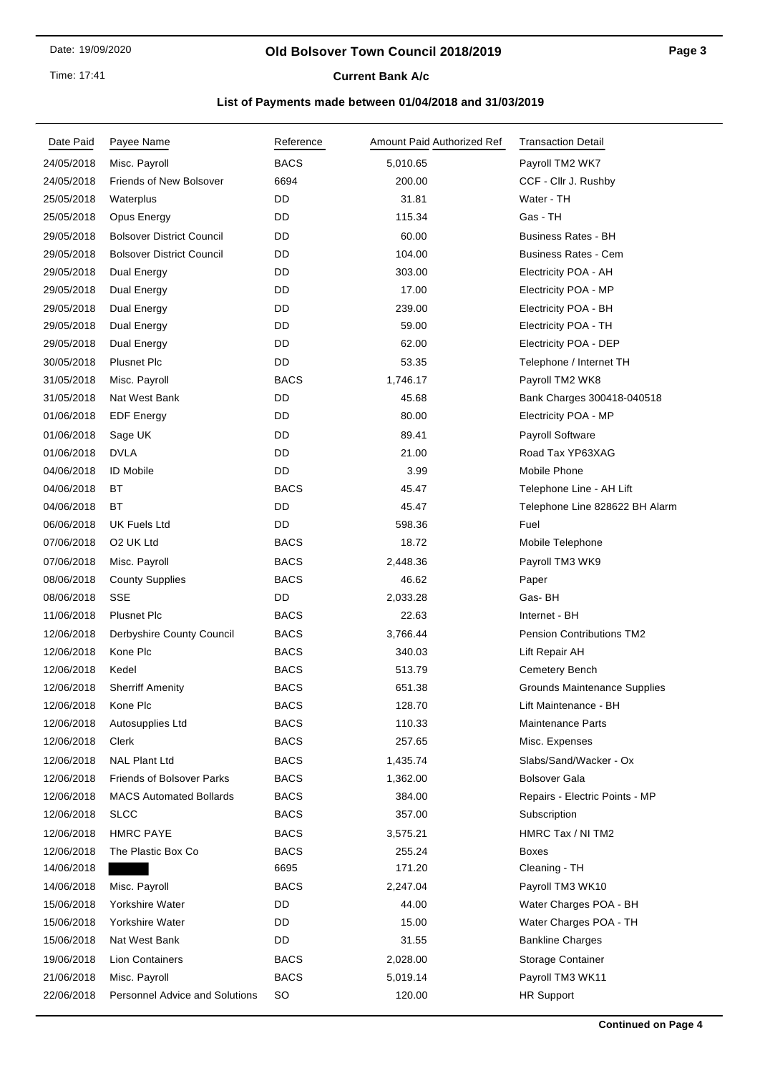Time: 17:41

# **Current Bank A/c**

| Date Paid  | Payee Name                            | Reference   | Amount Paid Authorized Ref | <b>Transaction Detail</b>        |
|------------|---------------------------------------|-------------|----------------------------|----------------------------------|
| 24/05/2018 | Misc. Payroll                         | <b>BACS</b> | 5,010.65                   | Payroll TM2 WK7                  |
| 24/05/2018 | <b>Friends of New Bolsover</b>        | 6694        | 200.00                     | CCF - Cllr J. Rushby             |
| 25/05/2018 | Waterplus                             | DD          | 31.81                      | Water - TH                       |
| 25/05/2018 | Opus Energy                           | DD          | 115.34                     | Gas - TH                         |
| 29/05/2018 | <b>Bolsover District Council</b>      | DD          | 60.00                      | <b>Business Rates - BH</b>       |
| 29/05/2018 | <b>Bolsover District Council</b>      | DD          | 104.00                     | <b>Business Rates - Cem</b>      |
| 29/05/2018 | Dual Energy                           | <b>DD</b>   | 303.00                     | Electricity POA - AH             |
| 29/05/2018 | Dual Energy                           | DD          | 17.00                      | Electricity POA - MP             |
| 29/05/2018 | Dual Energy                           | DD          | 239.00                     | Electricity POA - BH             |
| 29/05/2018 | Dual Energy                           | <b>DD</b>   | 59.00                      | Electricity POA - TH             |
| 29/05/2018 | Dual Energy                           | DD          | 62.00                      | Electricity POA - DEP            |
| 30/05/2018 | <b>Plusnet Plc</b>                    | DD          | 53.35                      | Telephone / Internet TH          |
| 31/05/2018 | Misc. Payroll                         | <b>BACS</b> | 1,746.17                   | Payroll TM2 WK8                  |
| 31/05/2018 | Nat West Bank                         | DD          | 45.68                      | Bank Charges 300418-040518       |
| 01/06/2018 | <b>EDF</b> Energy                     | DD          | 80.00                      | Electricity POA - MP             |
| 01/06/2018 | Sage UK                               | DD          | 89.41                      | <b>Payroll Software</b>          |
| 01/06/2018 | <b>DVLA</b>                           | DD          | 21.00                      | Road Tax YP63XAG                 |
| 04/06/2018 | <b>ID Mobile</b>                      | <b>DD</b>   | 3.99                       | Mobile Phone                     |
| 04/06/2018 | ВT                                    | <b>BACS</b> | 45.47                      | Telephone Line - AH Lift         |
| 04/06/2018 | <b>BT</b>                             | DD          | 45.47                      | Telephone Line 828622 BH Alarm   |
| 06/06/2018 | <b>UK Fuels Ltd</b>                   | <b>DD</b>   | 598.36                     | Fuel                             |
| 07/06/2018 | O2 UK Ltd                             | <b>BACS</b> | 18.72                      | Mobile Telephone                 |
| 07/06/2018 | Misc. Payroll                         | <b>BACS</b> | 2,448.36                   | Payroll TM3 WK9                  |
| 08/06/2018 | <b>County Supplies</b>                | <b>BACS</b> | 46.62                      | Paper                            |
| 08/06/2018 | <b>SSE</b>                            | DD          | 2,033.28                   | Gas-BH                           |
| 11/06/2018 | <b>Plusnet Plc</b>                    | <b>BACS</b> | 22.63                      | Internet - BH                    |
| 12/06/2018 | Derbyshire County Council             | <b>BACS</b> | 3,766.44                   | <b>Pension Contributions TM2</b> |
| 12/06/2018 | Kone Plc                              | <b>BACS</b> | 340.03                     | Lift Repair AH                   |
| 12/06/2018 | Kedel                                 | <b>BACS</b> | 513.79                     | Cemetery Bench                   |
| 12/06/2018 | <b>Sherriff Amenity</b>               | <b>BACS</b> | 651.38                     | Grounds Maintenance Supplies     |
| 12/06/2018 | Kone Plc                              | <b>BACS</b> | 128.70                     | Lift Maintenance - BH            |
| 12/06/2018 | Autosupplies Ltd                      | <b>BACS</b> | 110.33                     | <b>Maintenance Parts</b>         |
| 12/06/2018 | Clerk                                 | <b>BACS</b> | 257.65                     | Misc. Expenses                   |
| 12/06/2018 | <b>NAL Plant Ltd</b>                  | <b>BACS</b> | 1,435.74                   | Slabs/Sand/Wacker - Ox           |
| 12/06/2018 | <b>Friends of Bolsover Parks</b>      | <b>BACS</b> | 1,362.00                   | <b>Bolsover Gala</b>             |
| 12/06/2018 | <b>MACS Automated Bollards</b>        | <b>BACS</b> | 384.00                     | Repairs - Electric Points - MP   |
| 12/06/2018 | <b>SLCC</b>                           | <b>BACS</b> | 357.00                     | Subscription                     |
| 12/06/2018 | <b>HMRC PAYE</b>                      | <b>BACS</b> | 3,575.21                   | HMRC Tax / NI TM2                |
| 12/06/2018 | The Plastic Box Co                    | <b>BACS</b> | 255.24                     | Boxes                            |
| 14/06/2018 |                                       | 6695        | 171.20                     | Cleaning - TH                    |
| 14/06/2018 | Misc. Payroll                         | <b>BACS</b> | 2,247.04                   | Payroll TM3 WK10                 |
| 15/06/2018 | Yorkshire Water                       | DD          | 44.00                      | Water Charges POA - BH           |
| 15/06/2018 | Yorkshire Water                       | DD          | 15.00                      | Water Charges POA - TH           |
| 15/06/2018 | Nat West Bank                         | DD          | 31.55                      | <b>Bankline Charges</b>          |
| 19/06/2018 | Lion Containers                       | <b>BACS</b> | 2,028.00                   | Storage Container                |
| 21/06/2018 | Misc. Payroll                         | <b>BACS</b> | 5,019.14                   | Payroll TM3 WK11                 |
| 22/06/2018 | <b>Personnel Advice and Solutions</b> | <b>SO</b>   | 120.00                     | <b>HR Support</b>                |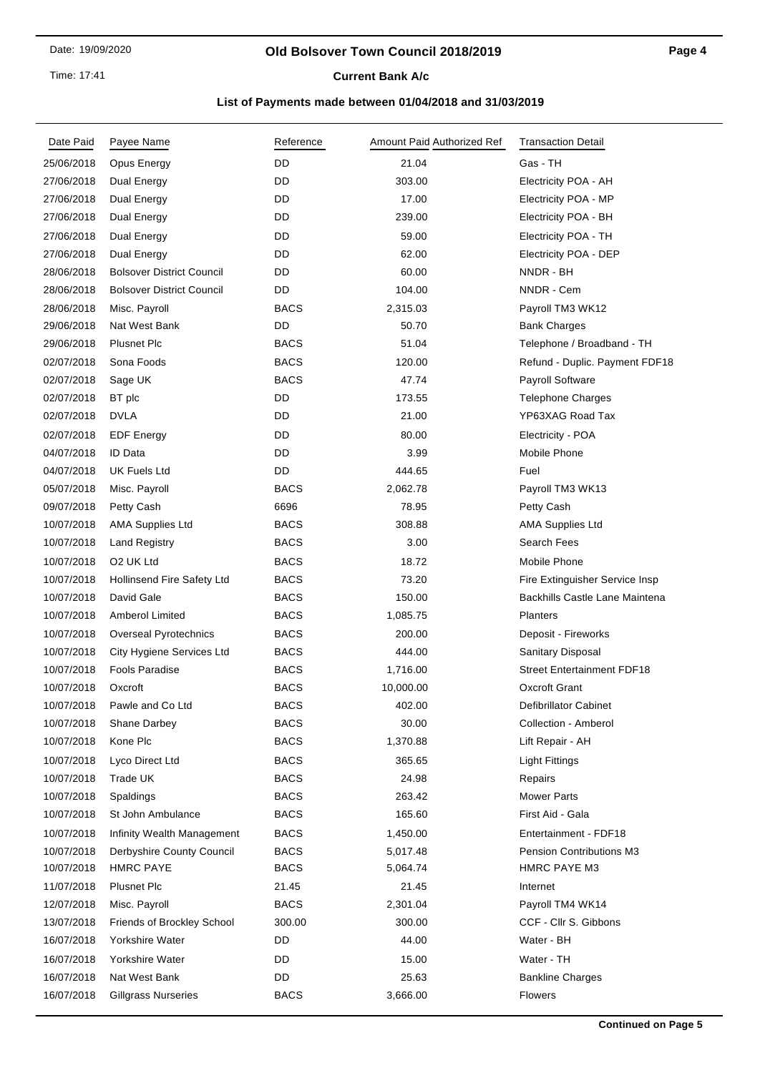Time: 17:41

# **Current Bank A/c**

| Date Paid  | Payee Name                        | Reference   | Amount Paid Authorized Ref | <b>Transaction Detail</b>         |
|------------|-----------------------------------|-------------|----------------------------|-----------------------------------|
| 25/06/2018 | Opus Energy                       | DD          | 21.04                      | Gas - TH                          |
| 27/06/2018 | Dual Energy                       | <b>DD</b>   | 303.00                     | Electricity POA - AH              |
| 27/06/2018 | Dual Energy                       | DD          | 17.00                      | Electricity POA - MP              |
| 27/06/2018 | Dual Energy                       | DD          | 239.00                     | Electricity POA - BH              |
| 27/06/2018 | Dual Energy                       | DD          | 59.00                      | Electricity POA - TH              |
| 27/06/2018 | Dual Energy                       | DD          | 62.00                      | Electricity POA - DEP             |
| 28/06/2018 | <b>Bolsover District Council</b>  | DD          | 60.00                      | NNDR - BH                         |
| 28/06/2018 | <b>Bolsover District Council</b>  | DD          | 104.00                     | NNDR - Cem                        |
| 28/06/2018 | Misc. Payroll                     | <b>BACS</b> | 2,315.03                   | Payroll TM3 WK12                  |
| 29/06/2018 | Nat West Bank                     | DD          | 50.70                      | <b>Bank Charges</b>               |
| 29/06/2018 | <b>Plusnet Plc</b>                | <b>BACS</b> | 51.04                      | Telephone / Broadband - TH        |
| 02/07/2018 | Sona Foods                        | <b>BACS</b> | 120.00                     | Refund - Duplic. Payment FDF18    |
| 02/07/2018 | Sage UK                           | <b>BACS</b> | 47.74                      | Payroll Software                  |
| 02/07/2018 | BT plc                            | DD          | 173.55                     | <b>Telephone Charges</b>          |
| 02/07/2018 | <b>DVLA</b>                       | DD          | 21.00                      | YP63XAG Road Tax                  |
| 02/07/2018 | <b>EDF Energy</b>                 | DD          | 80.00                      | Electricity - POA                 |
| 04/07/2018 | <b>ID Data</b>                    | DD          | 3.99                       | Mobile Phone                      |
| 04/07/2018 | UK Fuels Ltd                      | DD          | 444.65                     | Fuel                              |
| 05/07/2018 | Misc. Payroll                     | <b>BACS</b> | 2,062.78                   | Payroll TM3 WK13                  |
| 09/07/2018 | Petty Cash                        | 6696        | 78.95                      | Petty Cash                        |
| 10/07/2018 | <b>AMA Supplies Ltd</b>           | <b>BACS</b> | 308.88                     | <b>AMA Supplies Ltd</b>           |
| 10/07/2018 | <b>Land Registry</b>              | <b>BACS</b> | 3.00                       | Search Fees                       |
| 10/07/2018 | O2 UK Ltd                         | <b>BACS</b> | 18.72                      | Mobile Phone                      |
| 10/07/2018 | <b>Hollinsend Fire Safety Ltd</b> | <b>BACS</b> | 73.20                      | Fire Extinguisher Service Insp    |
| 10/07/2018 | David Gale                        | <b>BACS</b> | 150.00                     | Backhills Castle Lane Maintena    |
| 10/07/2018 | <b>Amberol Limited</b>            | <b>BACS</b> | 1,085.75                   | Planters                          |
| 10/07/2018 | Overseal Pyrotechnics             | <b>BACS</b> | 200.00                     | Deposit - Fireworks               |
| 10/07/2018 | City Hygiene Services Ltd         | <b>BACS</b> | 444.00                     | Sanitary Disposal                 |
| 10/07/2018 | <b>Fools Paradise</b>             | <b>BACS</b> | 1,716.00                   | <b>Street Entertainment FDF18</b> |
| 10/07/2018 | Oxcroft                           | <b>BACS</b> | 10,000.00                  | <b>Oxcroft Grant</b>              |
| 10/07/2018 | Pawle and Co Ltd                  | <b>BACS</b> | 402.00                     | Defibrillator Cabinet             |
| 10/07/2018 | Shane Darbey                      | <b>BACS</b> | 30.00                      | Collection - Amberol              |
| 10/07/2018 | Kone Plc                          | <b>BACS</b> | 1,370.88                   | Lift Repair - AH                  |
| 10/07/2018 | Lyco Direct Ltd                   | <b>BACS</b> | 365.65                     | <b>Light Fittings</b>             |
| 10/07/2018 | Trade UK                          | <b>BACS</b> | 24.98                      | Repairs                           |
| 10/07/2018 | Spaldings                         | <b>BACS</b> | 263.42                     | <b>Mower Parts</b>                |
| 10/07/2018 | St John Ambulance                 | <b>BACS</b> | 165.60                     | First Aid - Gala                  |
| 10/07/2018 | Infinity Wealth Management        | <b>BACS</b> | 1,450.00                   | Entertainment - FDF18             |
| 10/07/2018 | Derbyshire County Council         | <b>BACS</b> | 5,017.48                   | <b>Pension Contributions M3</b>   |
| 10/07/2018 | <b>HMRC PAYE</b>                  | <b>BACS</b> | 5,064.74                   | HMRC PAYE M3                      |
| 11/07/2018 | <b>Plusnet Plc</b>                | 21.45       | 21.45                      | Internet                          |
| 12/07/2018 | Misc. Payroll                     | <b>BACS</b> | 2,301.04                   | Payroll TM4 WK14                  |
| 13/07/2018 | <b>Friends of Brockley School</b> | 300.00      | 300.00                     | CCF - Cllr S. Gibbons             |
| 16/07/2018 | Yorkshire Water                   | DD          | 44.00                      | Water - BH                        |
| 16/07/2018 | Yorkshire Water                   | DD          | 15.00                      | Water - TH                        |
| 16/07/2018 | Nat West Bank                     | DD          | 25.63                      | <b>Bankline Charges</b>           |
| 16/07/2018 | <b>Gillgrass Nurseries</b>        | <b>BACS</b> | 3,666.00                   | <b>Flowers</b>                    |
|            |                                   |             |                            |                                   |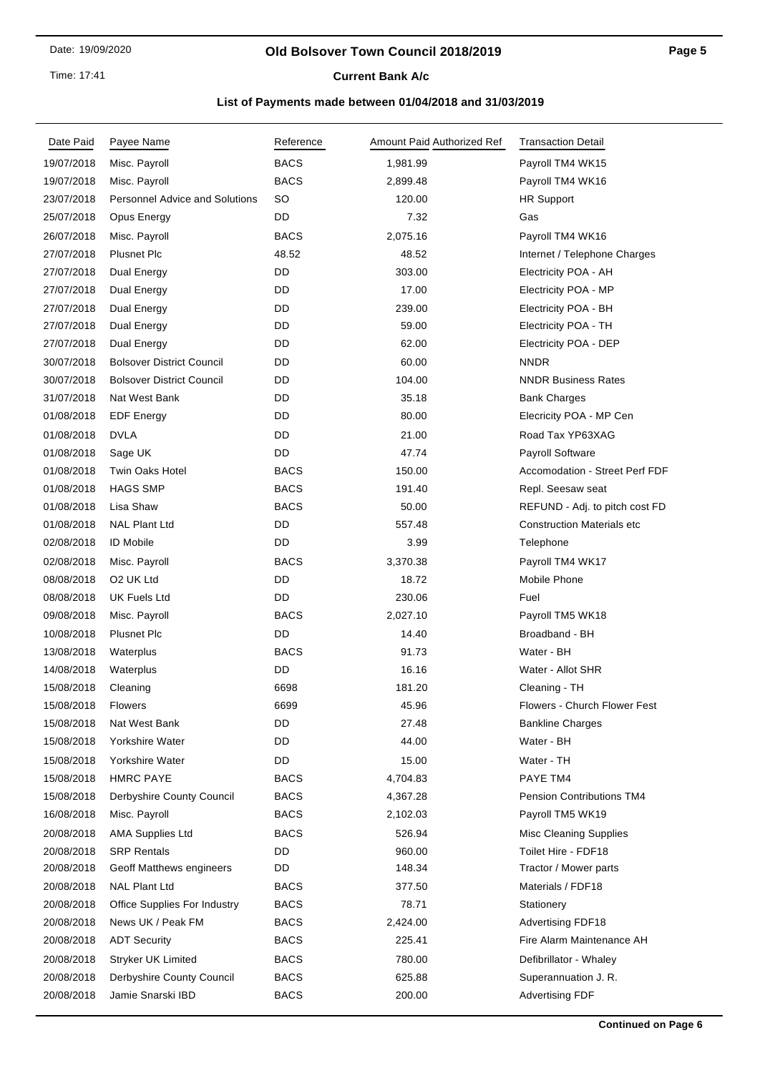#### **Old Bolsover Town Council 2018/2019**

# **Current Bank A/c**

| Date Paid  | Payee Name                            | Reference   | Amount Paid Authorized Ref | <b>Transaction Detail</b>         |
|------------|---------------------------------------|-------------|----------------------------|-----------------------------------|
| 19/07/2018 | Misc. Payroll                         | <b>BACS</b> | 1,981.99                   | Payroll TM4 WK15                  |
| 19/07/2018 | Misc. Payroll                         | <b>BACS</b> | 2,899.48                   | Payroll TM4 WK16                  |
| 23/07/2018 | <b>Personnel Advice and Solutions</b> | SO          | 120.00                     | <b>HR Support</b>                 |
| 25/07/2018 | Opus Energy                           | DD          | 7.32                       | Gas                               |
| 26/07/2018 | Misc. Payroll                         | <b>BACS</b> | 2,075.16                   | Payroll TM4 WK16                  |
| 27/07/2018 | <b>Plusnet Plc</b>                    | 48.52       | 48.52                      | Internet / Telephone Charges      |
| 27/07/2018 | Dual Energy                           | DD          | 303.00                     | Electricity POA - AH              |
| 27/07/2018 | Dual Energy                           | DD          | 17.00                      | Electricity POA - MP              |
| 27/07/2018 | Dual Energy                           | DD          | 239.00                     | Electricity POA - BH              |
| 27/07/2018 | Dual Energy                           | DD          | 59.00                      | Electricity POA - TH              |
| 27/07/2018 | Dual Energy                           | DD          | 62.00                      | Electricity POA - DEP             |
| 30/07/2018 | <b>Bolsover District Council</b>      | DD          | 60.00                      | <b>NNDR</b>                       |
| 30/07/2018 | <b>Bolsover District Council</b>      | DD          | 104.00                     | <b>NNDR Business Rates</b>        |
| 31/07/2018 | Nat West Bank                         | DD          | 35.18                      | <b>Bank Charges</b>               |
| 01/08/2018 | <b>EDF Energy</b>                     | DD          | 80.00                      | Elecricity POA - MP Cen           |
| 01/08/2018 | <b>DVLA</b>                           | DD          | 21.00                      | Road Tax YP63XAG                  |
| 01/08/2018 | Sage UK                               | DD          | 47.74                      | <b>Payroll Software</b>           |
| 01/08/2018 | <b>Twin Oaks Hotel</b>                | <b>BACS</b> | 150.00                     | Accomodation - Street Perf FDF    |
| 01/08/2018 | <b>HAGS SMP</b>                       | <b>BACS</b> | 191.40                     | Repl. Seesaw seat                 |
| 01/08/2018 | Lisa Shaw                             | <b>BACS</b> | 50.00                      | REFUND - Adj. to pitch cost FD    |
| 01/08/2018 | <b>NAL Plant Ltd</b>                  | DD          | 557.48                     | <b>Construction Materials etc</b> |
| 02/08/2018 | <b>ID Mobile</b>                      | DD          | 3.99                       | Telephone                         |
| 02/08/2018 | Misc. Payroll                         | <b>BACS</b> | 3,370.38                   | Payroll TM4 WK17                  |
| 08/08/2018 | O <sub>2</sub> UK Ltd                 | DD          | 18.72                      | Mobile Phone                      |
| 08/08/2018 | UK Fuels Ltd                          | DD          | 230.06                     | Fuel                              |
| 09/08/2018 | Misc. Payroll                         | <b>BACS</b> | 2,027.10                   | Payroll TM5 WK18                  |
| 10/08/2018 | <b>Plusnet Plc</b>                    | DD          | 14.40                      | Broadband - BH                    |
| 13/08/2018 | Waterplus                             | <b>BACS</b> | 91.73                      | Water - BH                        |
| 14/08/2018 | Waterplus                             | DD          | 16.16                      | Water - Allot SHR                 |
| 15/08/2018 | Cleaning                              | 6698        | 181.20                     | Cleaning - TH                     |
| 15/08/2018 | <b>Flowers</b>                        | 6699        | 45.96                      | Flowers - Church Flower Fest      |
| 15/08/2018 | Nat West Bank                         | DD          | 27.48                      | <b>Bankline Charges</b>           |
| 15/08/2018 | Yorkshire Water                       | DD          | 44.00                      | Water - BH                        |
| 15/08/2018 | Yorkshire Water                       | DD          | 15.00                      | Water - TH                        |
| 15/08/2018 | <b>HMRC PAYE</b>                      | <b>BACS</b> | 4,704.83                   | PAYE TM4                          |
| 15/08/2018 | Derbyshire County Council             | <b>BACS</b> | 4,367.28                   | <b>Pension Contributions TM4</b>  |
| 16/08/2018 | Misc. Payroll                         | <b>BACS</b> | 2,102.03                   | Payroll TM5 WK19                  |
| 20/08/2018 | <b>AMA Supplies Ltd</b>               | <b>BACS</b> | 526.94                     | Misc Cleaning Supplies            |
| 20/08/2018 | <b>SRP Rentals</b>                    | DD          | 960.00                     | Toilet Hire - FDF18               |
| 20/08/2018 | Geoff Matthews engineers              | DD          | 148.34                     | Tractor / Mower parts             |
| 20/08/2018 | <b>NAL Plant Ltd</b>                  | <b>BACS</b> | 377.50                     | Materials / FDF18                 |
| 20/08/2018 | Office Supplies For Industry          | <b>BACS</b> | 78.71                      | Stationery                        |
| 20/08/2018 | News UK / Peak FM                     | <b>BACS</b> | 2,424.00                   | <b>Advertising FDF18</b>          |
| 20/08/2018 | <b>ADT Security</b>                   | <b>BACS</b> | 225.41                     | Fire Alarm Maintenance AH         |
| 20/08/2018 | Stryker UK Limited                    | <b>BACS</b> | 780.00                     | Defibrillator - Whaley            |
| 20/08/2018 | Derbyshire County Council             | <b>BACS</b> | 625.88                     | Superannuation J. R.              |
| 20/08/2018 | Jamie Snarski IBD                     | <b>BACS</b> | 200.00                     | <b>Advertising FDF</b>            |
|            |                                       |             |                            |                                   |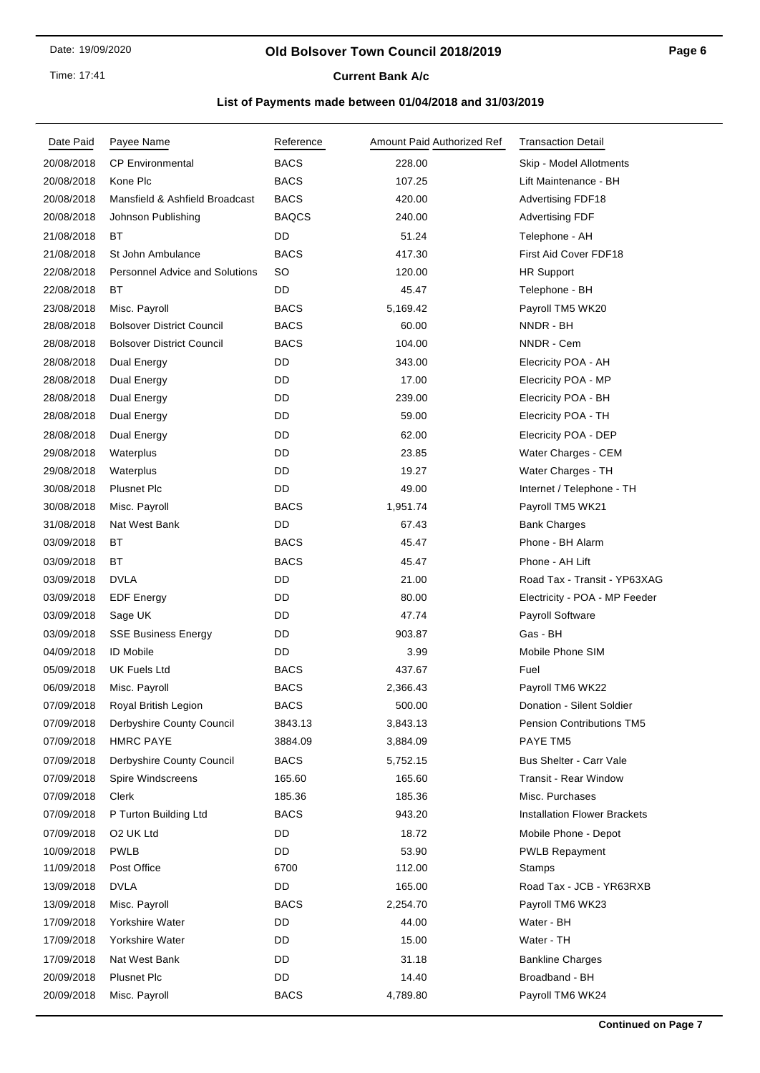#### **Old Bolsover Town Council 2018/2019**

**Current Bank A/c** 

| Date Paid  | Payee Name                            | Reference    | Amount Paid Authorized Ref | <b>Transaction Detail</b>           |
|------------|---------------------------------------|--------------|----------------------------|-------------------------------------|
| 20/08/2018 | <b>CP Environmental</b>               | <b>BACS</b>  | 228.00                     | Skip - Model Allotments             |
| 20/08/2018 | Kone Plc                              | <b>BACS</b>  | 107.25                     | Lift Maintenance - BH               |
| 20/08/2018 | Mansfield & Ashfield Broadcast        | <b>BACS</b>  | 420.00                     | <b>Advertising FDF18</b>            |
| 20/08/2018 | Johnson Publishing                    | <b>BAQCS</b> | 240.00                     | <b>Advertising FDF</b>              |
| 21/08/2018 | ВT                                    | DD           | 51.24                      | Telephone - AH                      |
| 21/08/2018 | St John Ambulance                     | <b>BACS</b>  | 417.30                     | First Aid Cover FDF18               |
| 22/08/2018 | <b>Personnel Advice and Solutions</b> | SO           | 120.00                     | <b>HR Support</b>                   |
| 22/08/2018 | ВT                                    | DD           | 45.47                      | Telephone - BH                      |
| 23/08/2018 | Misc. Payroll                         | <b>BACS</b>  | 5,169.42                   | Payroll TM5 WK20                    |
| 28/08/2018 | <b>Bolsover District Council</b>      | <b>BACS</b>  | 60.00                      | NNDR - BH                           |
| 28/08/2018 | <b>Bolsover District Council</b>      | <b>BACS</b>  | 104.00                     | NNDR - Cem                          |
| 28/08/2018 | Dual Energy                           | DD           | 343.00                     | Elecricity POA - AH                 |
| 28/08/2018 | Dual Energy                           | DD           | 17.00                      | Elecricity POA - MP                 |
| 28/08/2018 | Dual Energy                           | DD           | 239.00                     | Elecricity POA - BH                 |
| 28/08/2018 | Dual Energy                           | DD           | 59.00                      | Elecricity POA - TH                 |
| 28/08/2018 | Dual Energy                           | DD.          | 62.00                      | Elecricity POA - DEP                |
| 29/08/2018 | Waterplus                             | DD           | 23.85                      | Water Charges - CEM                 |
| 29/08/2018 | Waterplus                             | DD           | 19.27                      | Water Charges - TH                  |
| 30/08/2018 | <b>Plusnet Plc</b>                    | DD           | 49.00                      | Internet / Telephone - TH           |
| 30/08/2018 | Misc. Payroll                         | <b>BACS</b>  | 1,951.74                   | Payroll TM5 WK21                    |
| 31/08/2018 | Nat West Bank                         | DD           | 67.43                      | <b>Bank Charges</b>                 |
| 03/09/2018 | ВT                                    | <b>BACS</b>  | 45.47                      | Phone - BH Alarm                    |
| 03/09/2018 | ВT                                    | <b>BACS</b>  | 45.47                      | Phone - AH Lift                     |
| 03/09/2018 | DVLA                                  | DD           | 21.00                      | Road Tax - Transit - YP63XAG        |
| 03/09/2018 | <b>EDF</b> Energy                     | DD           | 80.00                      | Electricity - POA - MP Feeder       |
| 03/09/2018 | Sage UK                               | DD           | 47.74                      | Payroll Software                    |
| 03/09/2018 | <b>SSE Business Energy</b>            | DD           | 903.87                     | Gas - BH                            |
| 04/09/2018 | <b>ID Mobile</b>                      | DD           | 3.99                       | Mobile Phone SIM                    |
| 05/09/2018 | UK Fuels Ltd                          | <b>BACS</b>  | 437.67                     | Fuel                                |
| 06/09/2018 | Misc. Payroll                         | <b>BACS</b>  | 2,366.43                   | Payroll TM6 WK22                    |
| 07/09/2018 | Royal British Legion                  | <b>BACS</b>  | 500.00                     | Donation - Silent Soldier           |
| 07/09/2018 | Derbyshire County Council             | 3843.13      | 3,843.13                   | <b>Pension Contributions TM5</b>    |
| 07/09/2018 | <b>HMRC PAYE</b>                      | 3884.09      | 3,884.09                   | PAYE TM5                            |
| 07/09/2018 | Derbyshire County Council             | <b>BACS</b>  | 5,752.15                   | <b>Bus Shelter - Carr Vale</b>      |
| 07/09/2018 | Spire Windscreens                     | 165.60       | 165.60                     | Transit - Rear Window               |
| 07/09/2018 | Clerk                                 | 185.36       | 185.36                     | Misc. Purchases                     |
| 07/09/2018 | P Turton Building Ltd                 | <b>BACS</b>  | 943.20                     | <b>Installation Flower Brackets</b> |
| 07/09/2018 | O2 UK Ltd                             | DD           | 18.72                      | Mobile Phone - Depot                |
| 10/09/2018 | <b>PWLB</b>                           | DD           | 53.90                      | <b>PWLB Repayment</b>               |
| 11/09/2018 | Post Office                           | 6700         | 112.00                     | <b>Stamps</b>                       |
| 13/09/2018 | <b>DVLA</b>                           | DD           | 165.00                     | Road Tax - JCB - YR63RXB            |
| 13/09/2018 | Misc. Payroll                         | <b>BACS</b>  | 2,254.70                   | Payroll TM6 WK23                    |
| 17/09/2018 | Yorkshire Water                       | DD           | 44.00                      | Water - BH                          |
| 17/09/2018 | Yorkshire Water                       | DD           | 15.00                      | Water - TH                          |
| 17/09/2018 | Nat West Bank                         | DD           | 31.18                      | <b>Bankline Charges</b>             |
| 20/09/2018 | <b>Plusnet Plc</b>                    | DD           | 14.40                      | Broadband - BH                      |
| 20/09/2018 | Misc. Payroll                         | <b>BACS</b>  | 4,789.80                   | Payroll TM6 WK24                    |
|            |                                       |              |                            |                                     |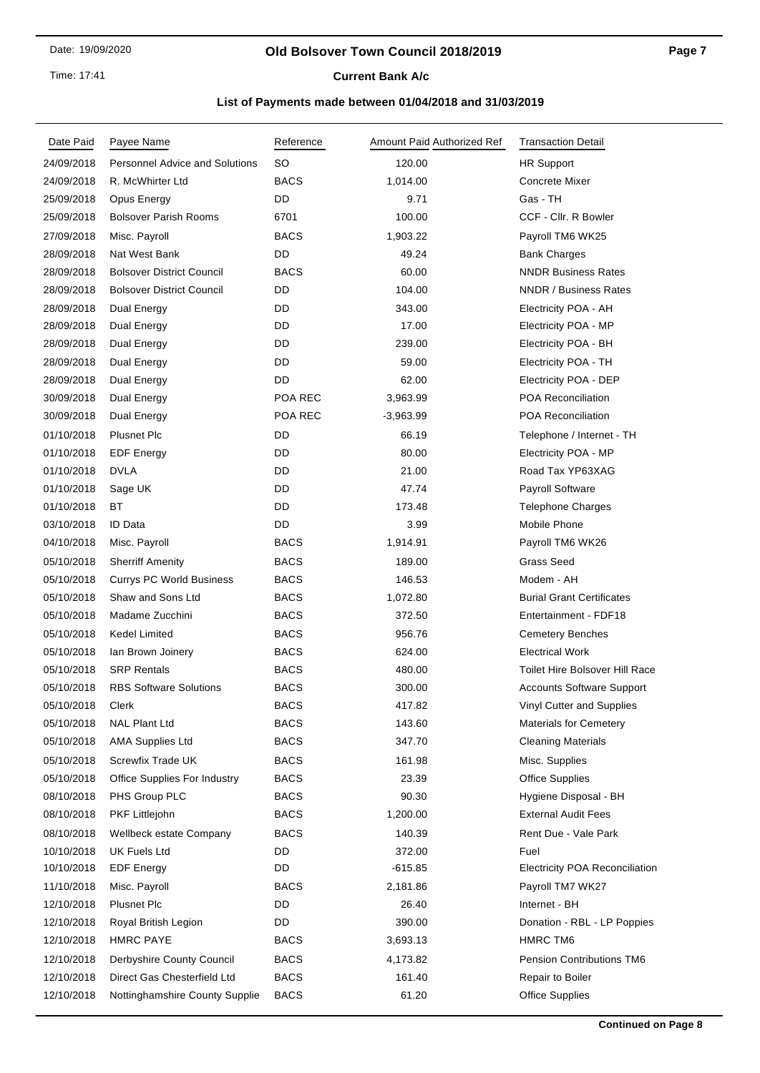#### **Old Bolsover Town Council 2018/2019**

**Current Bank A/c** 

| Date Paid  | Payee Name                            | Reference   | Amount Paid Authorized Ref | <b>Transaction Detail</b>             |
|------------|---------------------------------------|-------------|----------------------------|---------------------------------------|
| 24/09/2018 | <b>Personnel Advice and Solutions</b> | <b>SO</b>   | 120.00                     | <b>HR Support</b>                     |
| 24/09/2018 | R. McWhirter Ltd                      | <b>BACS</b> | 1,014.00                   | Concrete Mixer                        |
| 25/09/2018 | Opus Energy                           | DD          | 9.71                       | Gas - TH                              |
| 25/09/2018 | <b>Bolsover Parish Rooms</b>          | 6701        | 100.00                     | CCF - Cllr. R Bowler                  |
| 27/09/2018 | Misc. Payroll                         | <b>BACS</b> | 1,903.22                   | Payroll TM6 WK25                      |
| 28/09/2018 | Nat West Bank                         | DD          | 49.24                      | <b>Bank Charges</b>                   |
| 28/09/2018 | <b>Bolsover District Council</b>      | <b>BACS</b> | 60.00                      | <b>NNDR Business Rates</b>            |
| 28/09/2018 | <b>Bolsover District Council</b>      | DD          | 104.00                     | <b>NNDR / Business Rates</b>          |
| 28/09/2018 | Dual Energy                           | DD          | 343.00                     | Electricity POA - AH                  |
| 28/09/2018 | Dual Energy                           | DD          | 17.00                      | Electricity POA - MP                  |
| 28/09/2018 | Dual Energy                           | DD          | 239.00                     | Electricity POA - BH                  |
| 28/09/2018 | Dual Energy                           | DD          | 59.00                      | Electricity POA - TH                  |
| 28/09/2018 | Dual Energy                           | DD          | 62.00                      | Electricity POA - DEP                 |
| 30/09/2018 | Dual Energy                           | POA REC     | 3,963.99                   | <b>POA Reconciliation</b>             |
| 30/09/2018 | Dual Energy                           | POA REC     | $-3,963.99$                | <b>POA Reconciliation</b>             |
| 01/10/2018 | <b>Plusnet Plc</b>                    | DD          | 66.19                      | Telephone / Internet - TH             |
| 01/10/2018 | <b>EDF Energy</b>                     | DD          | 80.00                      | Electricity POA - MP                  |
| 01/10/2018 | <b>DVLA</b>                           | DD          | 21.00                      | Road Tax YP63XAG                      |
| 01/10/2018 | Sage UK                               | DD          | 47.74                      | Payroll Software                      |
| 01/10/2018 | BT                                    | DD          | 173.48                     | <b>Telephone Charges</b>              |
| 03/10/2018 | ID Data                               | DD          | 3.99                       | Mobile Phone                          |
| 04/10/2018 | Misc. Payroll                         | <b>BACS</b> | 1,914.91                   | Payroll TM6 WK26                      |
| 05/10/2018 | <b>Sherriff Amenity</b>               | <b>BACS</b> | 189.00                     | <b>Grass Seed</b>                     |
| 05/10/2018 | <b>Currys PC World Business</b>       | <b>BACS</b> | 146.53                     | Modem - AH                            |
| 05/10/2018 | Shaw and Sons Ltd                     | <b>BACS</b> | 1,072.80                   | <b>Burial Grant Certificates</b>      |
| 05/10/2018 | Madame Zucchini                       | <b>BACS</b> | 372.50                     | Entertainment - FDF18                 |
| 05/10/2018 | Kedel Limited                         | <b>BACS</b> | 956.76                     | <b>Cemetery Benches</b>               |
| 05/10/2018 | lan Brown Joinery                     | <b>BACS</b> | 624.00                     | <b>Electrical Work</b>                |
| 05/10/2018 | <b>SRP Rentals</b>                    | <b>BACS</b> | 480.00                     | Toilet Hire Bolsover Hill Race        |
| 05/10/2018 | <b>RBS Software Solutions</b>         | <b>BACS</b> | 300.00                     | <b>Accounts Software Support</b>      |
| 05/10/2018 | Clerk                                 | <b>BACS</b> | 417.82                     | Vinyl Cutter and Supplies             |
| 05/10/2018 | <b>NAL Plant Ltd</b>                  | <b>BACS</b> | 143.60                     | <b>Materials for Cemetery</b>         |
| 05/10/2018 | <b>AMA Supplies Ltd</b>               | <b>BACS</b> | 347.70                     | <b>Cleaning Materials</b>             |
| 05/10/2018 | Screwfix Trade UK                     | <b>BACS</b> | 161.98                     | Misc. Supplies                        |
| 05/10/2018 | <b>Office Supplies For Industry</b>   | <b>BACS</b> | 23.39                      | <b>Office Supplies</b>                |
| 08/10/2018 | PHS Group PLC                         | <b>BACS</b> | 90.30                      | Hygiene Disposal - BH                 |
| 08/10/2018 | <b>PKF Littlejohn</b>                 | <b>BACS</b> | 1,200.00                   | <b>External Audit Fees</b>            |
| 08/10/2018 | Wellbeck estate Company               | <b>BACS</b> | 140.39                     | Rent Due - Vale Park                  |
| 10/10/2018 | <b>UK Fuels Ltd</b>                   | DD          | 372.00                     | Fuel                                  |
| 10/10/2018 | <b>EDF Energy</b>                     | DD          | -615.85                    | <b>Electricity POA Reconciliation</b> |
| 11/10/2018 | Misc. Payroll                         | BACS        | 2,181.86                   | Payroll TM7 WK27                      |
| 12/10/2018 | <b>Plusnet Plc</b>                    | DD          | 26.40                      | Internet - BH                         |
| 12/10/2018 | Royal British Legion                  | DD          | 390.00                     | Donation - RBL - LP Poppies           |
| 12/10/2018 | <b>HMRC PAYE</b>                      | <b>BACS</b> | 3,693.13                   | HMRC TM6                              |
| 12/10/2018 | Derbyshire County Council             | <b>BACS</b> | 4,173.82                   | <b>Pension Contributions TM6</b>      |
| 12/10/2018 | Direct Gas Chesterfield Ltd           | <b>BACS</b> | 161.40                     | Repair to Boiler                      |
| 12/10/2018 | Nottinghamshire County Supplie        | <b>BACS</b> | 61.20                      | <b>Office Supplies</b>                |
|            |                                       |             |                            |                                       |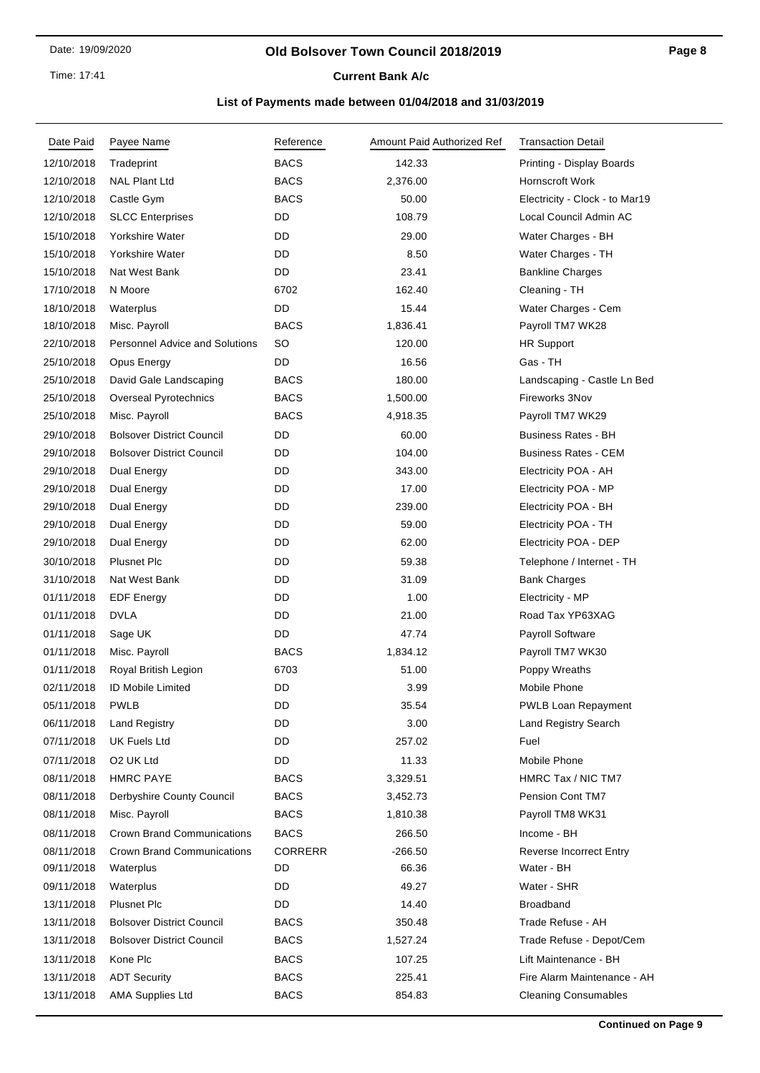Time: 17:41

# **Current Bank A/c**

| Date Paid  | Payee Name                            | Reference      | Amount Paid Authorized Ref | <b>Transaction Detail</b>      |
|------------|---------------------------------------|----------------|----------------------------|--------------------------------|
| 12/10/2018 | Tradeprint                            | <b>BACS</b>    | 142.33                     | Printing - Display Boards      |
| 12/10/2018 | <b>NAL Plant Ltd</b>                  | <b>BACS</b>    | 2,376.00                   | <b>Hornscroft Work</b>         |
| 12/10/2018 | Castle Gym                            | <b>BACS</b>    | 50.00                      | Electricity - Clock - to Mar19 |
| 12/10/2018 | <b>SLCC Enterprises</b>               | DD             | 108.79                     | Local Council Admin AC         |
| 15/10/2018 | Yorkshire Water                       | DD             | 29.00                      | Water Charges - BH             |
| 15/10/2018 | Yorkshire Water                       | DD             | 8.50                       | Water Charges - TH             |
| 15/10/2018 | Nat West Bank                         | <b>DD</b>      | 23.41                      | <b>Bankline Charges</b>        |
| 17/10/2018 | N Moore                               | 6702           | 162.40                     | Cleaning - TH                  |
| 18/10/2018 | Waterplus                             | <b>DD</b>      | 15.44                      | Water Charges - Cem            |
| 18/10/2018 | Misc. Payroll                         | <b>BACS</b>    | 1,836.41                   | Payroll TM7 WK28               |
| 22/10/2018 | <b>Personnel Advice and Solutions</b> | <b>SO</b>      | 120.00                     | <b>HR Support</b>              |
| 25/10/2018 | Opus Energy                           | <b>DD</b>      | 16.56                      | Gas - TH                       |
| 25/10/2018 | David Gale Landscaping                | <b>BACS</b>    | 180.00                     | Landscaping - Castle Ln Bed    |
| 25/10/2018 | Overseal Pyrotechnics                 | <b>BACS</b>    | 1,500.00                   | Fireworks 3Nov                 |
| 25/10/2018 | Misc. Payroll                         | <b>BACS</b>    | 4,918.35                   | Payroll TM7 WK29               |
| 29/10/2018 | <b>Bolsover District Council</b>      | DD             | 60.00                      | <b>Business Rates - BH</b>     |
| 29/10/2018 | <b>Bolsover District Council</b>      | DD             | 104.00                     | <b>Business Rates - CEM</b>    |
| 29/10/2018 | Dual Energy                           | DD             | 343.00                     | Electricity POA - AH           |
| 29/10/2018 | Dual Energy                           | DD             | 17.00                      | Electricity POA - MP           |
| 29/10/2018 | Dual Energy                           | DD             | 239.00                     | Electricity POA - BH           |
| 29/10/2018 | Dual Energy                           | DD             | 59.00                      | Electricity POA - TH           |
| 29/10/2018 | Dual Energy                           | DD             | 62.00                      | Electricity POA - DEP          |
| 30/10/2018 | <b>Plusnet Plc</b>                    | DD             | 59.38                      | Telephone / Internet - TH      |
| 31/10/2018 | Nat West Bank                         | DD             | 31.09                      | <b>Bank Charges</b>            |
| 01/11/2018 | <b>EDF Energy</b>                     | DD             | 1.00                       | Electricity - MP               |
| 01/11/2018 | <b>DVLA</b>                           | DD             | 21.00                      | Road Tax YP63XAG               |
| 01/11/2018 | Sage UK                               | DD             | 47.74                      | Payroll Software               |
| 01/11/2018 | Misc. Payroll                         | <b>BACS</b>    | 1,834.12                   | Payroll TM7 WK30               |
| 01/11/2018 | Royal British Legion                  | 6703           | 51.00                      | Poppy Wreaths                  |
| 02/11/2018 | <b>ID Mobile Limited</b>              | DD             | 3.99                       | Mobile Phone                   |
| 05/11/2018 | <b>PWLB</b>                           | DD             | 35.54                      | PWLB Loan Repayment            |
| 06/11/2018 | <b>Land Registry</b>                  | DD             | 3.00                       | <b>Land Registry Search</b>    |
| 07/11/2018 | <b>UK Fuels Ltd</b>                   | DD             | 257.02                     | Fuel                           |
| 07/11/2018 | O <sub>2</sub> UK Ltd                 | DD             | 11.33                      | Mobile Phone                   |
| 08/11/2018 | <b>HMRC PAYE</b>                      | <b>BACS</b>    | 3,329.51                   | HMRC Tax / NIC TM7             |
| 08/11/2018 | Derbyshire County Council             | <b>BACS</b>    | 3,452.73                   | Pension Cont TM7               |
| 08/11/2018 | Misc. Payroll                         | <b>BACS</b>    | 1,810.38                   | Payroll TM8 WK31               |
| 08/11/2018 | <b>Crown Brand Communications</b>     | <b>BACS</b>    | 266.50                     | Income - BH                    |
| 08/11/2018 | <b>Crown Brand Communications</b>     | <b>CORRERR</b> | $-266.50$                  | <b>Reverse Incorrect Entry</b> |
| 09/11/2018 | Waterplus                             | DD             | 66.36                      | Water - BH                     |
| 09/11/2018 | Waterplus                             | DD             | 49.27                      | Water - SHR                    |
| 13/11/2018 | <b>Plusnet Plc</b>                    | DD             | 14.40                      | <b>Broadband</b>               |
| 13/11/2018 | <b>Bolsover District Council</b>      | <b>BACS</b>    | 350.48                     | Trade Refuse - AH              |
| 13/11/2018 | <b>Bolsover District Council</b>      | <b>BACS</b>    | 1,527.24                   | Trade Refuse - Depot/Cem       |
| 13/11/2018 | Kone Plc                              | <b>BACS</b>    | 107.25                     | Lift Maintenance - BH          |
| 13/11/2018 | <b>ADT Security</b>                   | <b>BACS</b>    | 225.41                     | Fire Alarm Maintenance - AH    |
| 13/11/2018 | <b>AMA Supplies Ltd</b>               | <b>BACS</b>    | 854.83                     | <b>Cleaning Consumables</b>    |
|            |                                       |                |                            |                                |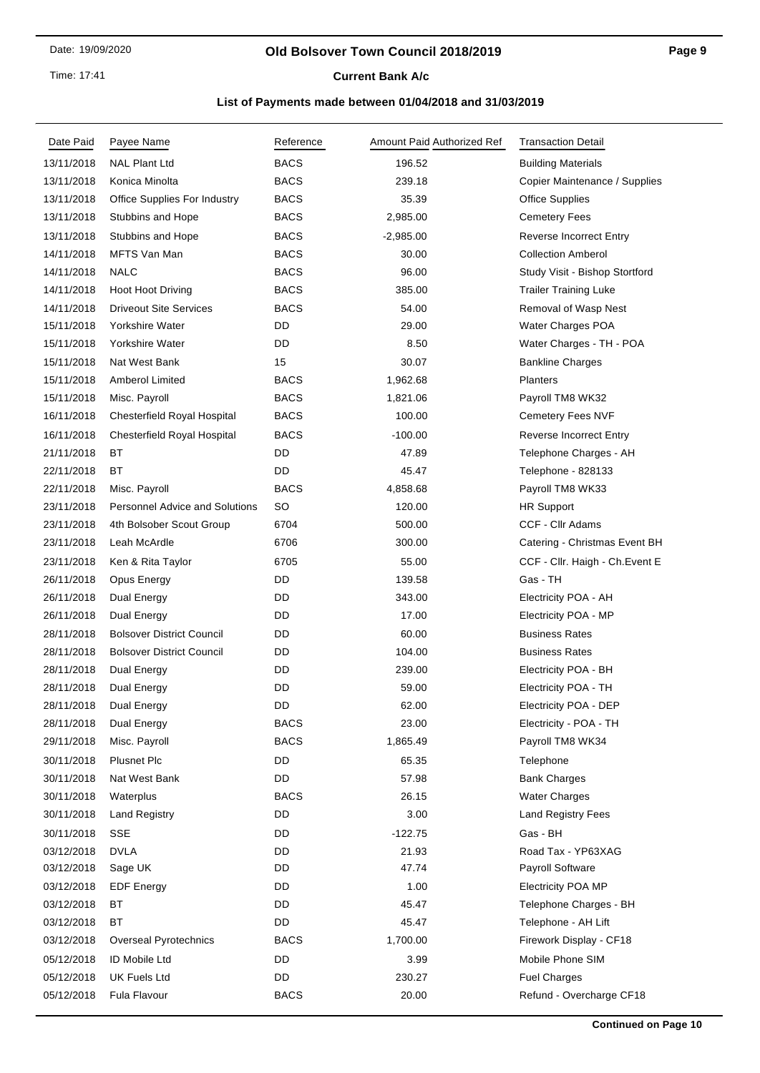Time: 17:41

# **Current Bank A/c**

| Date Paid  | Payee Name                            | Reference   | Amount Paid Authorized Ref | <b>Transaction Detail</b>       |
|------------|---------------------------------------|-------------|----------------------------|---------------------------------|
| 13/11/2018 | <b>NAL Plant Ltd</b>                  | <b>BACS</b> | 196.52                     | <b>Building Materials</b>       |
| 13/11/2018 | Konica Minolta                        | <b>BACS</b> | 239.18                     | Copier Maintenance / Supplies   |
| 13/11/2018 | Office Supplies For Industry          | <b>BACS</b> | 35.39                      | <b>Office Supplies</b>          |
| 13/11/2018 | Stubbins and Hope                     | <b>BACS</b> | 2,985.00                   | <b>Cemetery Fees</b>            |
| 13/11/2018 | Stubbins and Hope                     | <b>BACS</b> | $-2,985.00$                | <b>Reverse Incorrect Entry</b>  |
| 14/11/2018 | MFTS Van Man                          | <b>BACS</b> | 30.00                      | <b>Collection Amberol</b>       |
| 14/11/2018 | <b>NALC</b>                           | <b>BACS</b> | 96.00                      | Study Visit - Bishop Stortford  |
| 14/11/2018 | Hoot Hoot Driving                     | <b>BACS</b> | 385.00                     | <b>Trailer Training Luke</b>    |
| 14/11/2018 | <b>Driveout Site Services</b>         | <b>BACS</b> | 54.00                      | Removal of Wasp Nest            |
| 15/11/2018 | Yorkshire Water                       | DD          | 29.00                      | Water Charges POA               |
| 15/11/2018 | Yorkshire Water                       | DD          | 8.50                       | Water Charges - TH - POA        |
| 15/11/2018 | Nat West Bank                         | 15          | 30.07                      | <b>Bankline Charges</b>         |
| 15/11/2018 | <b>Amberol Limited</b>                | <b>BACS</b> | 1,962.68                   | Planters                        |
| 15/11/2018 | Misc. Payroll                         | <b>BACS</b> | 1,821.06                   | Payroll TM8 WK32                |
| 16/11/2018 | <b>Chesterfield Royal Hospital</b>    | <b>BACS</b> | 100.00                     | Cemetery Fees NVF               |
| 16/11/2018 | <b>Chesterfield Royal Hospital</b>    | <b>BACS</b> | $-100.00$                  | <b>Reverse Incorrect Entry</b>  |
| 21/11/2018 | ВT                                    | DD          | 47.89                      | Telephone Charges - AH          |
| 22/11/2018 | ВT                                    | DD          | 45.47                      | Telephone - 828133              |
| 22/11/2018 | Misc. Payroll                         | <b>BACS</b> | 4,858.68                   | Payroll TM8 WK33                |
| 23/11/2018 | <b>Personnel Advice and Solutions</b> | SO          | 120.00                     | <b>HR Support</b>               |
| 23/11/2018 | 4th Bolsober Scout Group              | 6704        | 500.00                     | CCF - Cllr Adams                |
| 23/11/2018 | Leah McArdle                          | 6706        | 300.00                     | Catering - Christmas Event BH   |
| 23/11/2018 | Ken & Rita Taylor                     | 6705        | 55.00                      | CCF - Cllr. Haigh - Ch. Event E |
| 26/11/2018 | Opus Energy                           | DD          | 139.58                     | Gas - TH                        |
| 26/11/2018 | Dual Energy                           | DD          | 343.00                     | Electricity POA - AH            |
| 26/11/2018 | Dual Energy                           | DD          | 17.00                      | Electricity POA - MP            |
| 28/11/2018 | <b>Bolsover District Council</b>      | DD          | 60.00                      | <b>Business Rates</b>           |
| 28/11/2018 | <b>Bolsover District Council</b>      | DD          | 104.00                     | <b>Business Rates</b>           |
| 28/11/2018 | Dual Energy                           | DD          | 239.00                     | Electricity POA - BH            |
| 28/11/2018 | Dual Energy                           | DD          | 59.00                      | Electricity POA - TH            |
| 28/11/2018 | Dual Energy                           | DD.         | 62.00                      | Electricity POA - DEP           |
| 28/11/2018 | Dual Energy                           | <b>BACS</b> | 23.00                      | Electricity - POA - TH          |
| 29/11/2018 | Misc. Payroll                         | <b>BACS</b> | 1,865.49                   | Payroll TM8 WK34                |
| 30/11/2018 | <b>Plusnet Plc</b>                    | DD          | 65.35                      | Telephone                       |
| 30/11/2018 | Nat West Bank                         | DD          | 57.98                      | <b>Bank Charges</b>             |
| 30/11/2018 | Waterplus                             | <b>BACS</b> | 26.15                      | <b>Water Charges</b>            |
| 30/11/2018 | <b>Land Registry</b>                  | DD          | 3.00                       | Land Registry Fees              |
| 30/11/2018 | <b>SSE</b>                            | DD          | $-122.75$                  | Gas - BH                        |
| 03/12/2018 | <b>DVLA</b>                           | DD          | 21.93                      | Road Tax - YP63XAG              |
| 03/12/2018 | Sage UK                               | DD          | 47.74                      | Payroll Software                |
| 03/12/2018 | <b>EDF Energy</b>                     | DD          | 1.00                       | <b>Electricity POA MP</b>       |
| 03/12/2018 | BT                                    | DD          | 45.47                      | Telephone Charges - BH          |
| 03/12/2018 | BT                                    | DD          | 45.47                      | Telephone - AH Lift             |
| 03/12/2018 | <b>Overseal Pyrotechnics</b>          | <b>BACS</b> | 1,700.00                   | Firework Display - CF18         |
| 05/12/2018 | ID Mobile Ltd                         | DD          | 3.99                       | Mobile Phone SIM                |
| 05/12/2018 | <b>UK Fuels Ltd</b>                   | DD          | 230.27                     | <b>Fuel Charges</b>             |
| 05/12/2018 | Fula Flavour                          | <b>BACS</b> | 20.00                      | Refund - Overcharge CF18        |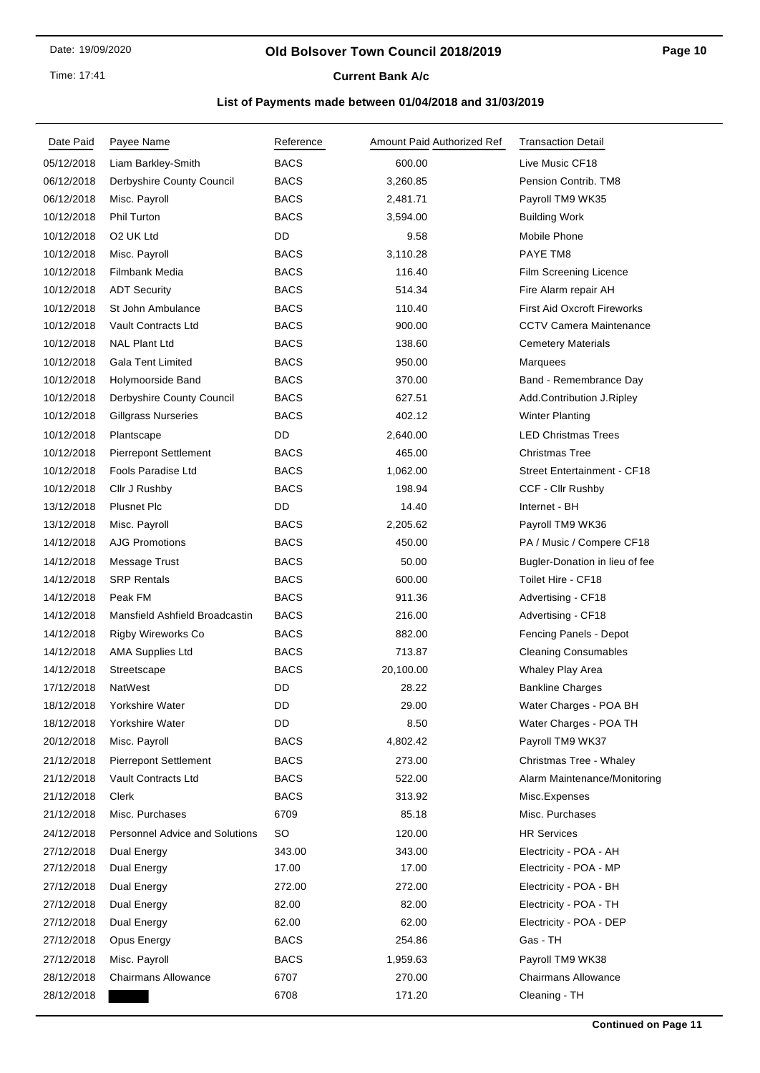Time: 17:41

# **Current Bank A/c**

| Date Paid  | Payee Name                            | Reference   | Amount Paid Authorized Ref | <b>Transaction Detail</b>          |
|------------|---------------------------------------|-------------|----------------------------|------------------------------------|
| 05/12/2018 | Liam Barkley-Smith                    | <b>BACS</b> | 600.00                     | Live Music CF18                    |
| 06/12/2018 | Derbyshire County Council             | <b>BACS</b> | 3,260.85                   | Pension Contrib. TM8               |
| 06/12/2018 | Misc. Payroll                         | <b>BACS</b> | 2,481.71                   | Payroll TM9 WK35                   |
| 10/12/2018 | Phil Turton                           | <b>BACS</b> | 3,594.00                   | <b>Building Work</b>               |
| 10/12/2018 | O <sub>2</sub> UK Ltd                 | DD          | 9.58                       | Mobile Phone                       |
| 10/12/2018 | Misc. Payroll                         | <b>BACS</b> | 3,110.28                   | PAYE TM8                           |
| 10/12/2018 | Filmbank Media                        | <b>BACS</b> | 116.40                     | <b>Film Screening Licence</b>      |
| 10/12/2018 | <b>ADT Security</b>                   | <b>BACS</b> | 514.34                     | Fire Alarm repair AH               |
| 10/12/2018 | St John Ambulance                     | <b>BACS</b> | 110.40                     | <b>First Aid Oxcroft Fireworks</b> |
| 10/12/2018 | Vault Contracts Ltd                   | <b>BACS</b> | 900.00                     | <b>CCTV Camera Maintenance</b>     |
| 10/12/2018 | <b>NAL Plant Ltd</b>                  | <b>BACS</b> | 138.60                     | <b>Cemetery Materials</b>          |
| 10/12/2018 | <b>Gala Tent Limited</b>              | <b>BACS</b> | 950.00                     | Marquees                           |
| 10/12/2018 | Holymoorside Band                     | <b>BACS</b> | 370.00                     | Band - Remembrance Day             |
| 10/12/2018 | Derbyshire County Council             | <b>BACS</b> | 627.51                     | Add.Contribution J.Ripley          |
| 10/12/2018 | <b>Gillgrass Nurseries</b>            | <b>BACS</b> | 402.12                     | <b>Winter Planting</b>             |
| 10/12/2018 | Plantscape                            | DD          | 2,640.00                   | <b>LED Christmas Trees</b>         |
| 10/12/2018 | <b>Pierrepont Settlement</b>          | <b>BACS</b> | 465.00                     | <b>Christmas Tree</b>              |
| 10/12/2018 | Fools Paradise Ltd                    | <b>BACS</b> | 1,062.00                   | <b>Street Entertainment - CF18</b> |
| 10/12/2018 | Cllr J Rushby                         | <b>BACS</b> | 198.94                     | CCF - Cllr Rushby                  |
| 13/12/2018 | <b>Plusnet Plc</b>                    | DD          | 14.40                      | Internet - BH                      |
| 13/12/2018 | Misc. Payroll                         | <b>BACS</b> | 2,205.62                   | Payroll TM9 WK36                   |
| 14/12/2018 | <b>AJG Promotions</b>                 | <b>BACS</b> | 450.00                     | PA / Music / Compere CF18          |
| 14/12/2018 | Message Trust                         | <b>BACS</b> | 50.00                      | Bugler-Donation in lieu of fee     |
| 14/12/2018 | <b>SRP Rentals</b>                    | <b>BACS</b> | 600.00                     | Toilet Hire - CF18                 |
| 14/12/2018 | Peak FM                               | <b>BACS</b> | 911.36                     | Advertising - CF18                 |
| 14/12/2018 | Mansfield Ashfield Broadcastin        | <b>BACS</b> | 216.00                     | Advertising - CF18                 |
| 14/12/2018 | Rigby Wireworks Co                    | <b>BACS</b> | 882.00                     | Fencing Panels - Depot             |
| 14/12/2018 | <b>AMA Supplies Ltd</b>               | <b>BACS</b> | 713.87                     | <b>Cleaning Consumables</b>        |
| 14/12/2018 | Streetscape                           | <b>BACS</b> | 20,100.00                  | Whaley Play Area                   |
| 17/12/2018 | NatWest                               | DD          | 28.22                      | <b>Bankline Charges</b>            |
| 18/12/2018 | Yorkshire Water                       | DD          | 29.00                      | Water Charges - POA BH             |
| 18/12/2018 | Yorkshire Water                       | DD          | 8.50                       | Water Charges - POA TH             |
| 20/12/2018 | Misc. Payroll                         | <b>BACS</b> | 4,802.42                   | Payroll TM9 WK37                   |
| 21/12/2018 | <b>Pierrepont Settlement</b>          | <b>BACS</b> | 273.00                     | Christmas Tree - Whaley            |
| 21/12/2018 | <b>Vault Contracts Ltd</b>            | <b>BACS</b> | 522.00                     | Alarm Maintenance/Monitoring       |
| 21/12/2018 | Clerk                                 | <b>BACS</b> | 313.92                     | Misc.Expenses                      |
| 21/12/2018 | Misc. Purchases                       | 6709        | 85.18                      | Misc. Purchases                    |
| 24/12/2018 | <b>Personnel Advice and Solutions</b> | <b>SO</b>   | 120.00                     | <b>HR Services</b>                 |
| 27/12/2018 | Dual Energy                           | 343.00      | 343.00                     | Electricity - POA - AH             |
| 27/12/2018 | Dual Energy                           | 17.00       | 17.00                      | Electricity - POA - MP             |
| 27/12/2018 | Dual Energy                           | 272.00      | 272.00                     | Electricity - POA - BH             |
| 27/12/2018 | Dual Energy                           | 82.00       | 82.00                      | Electricity - POA - TH             |
| 27/12/2018 | Dual Energy                           | 62.00       | 62.00                      | Electricity - POA - DEP            |
| 27/12/2018 | Opus Energy                           | BACS        | 254.86                     | Gas - TH                           |
| 27/12/2018 | Misc. Payroll                         | <b>BACS</b> | 1,959.63                   | Payroll TM9 WK38                   |
| 28/12/2018 | <b>Chairmans Allowance</b>            | 6707        | 270.00                     | <b>Chairmans Allowance</b>         |
| 28/12/2018 |                                       | 6708        | 171.20                     | Cleaning - TH                      |
|            |                                       |             |                            |                                    |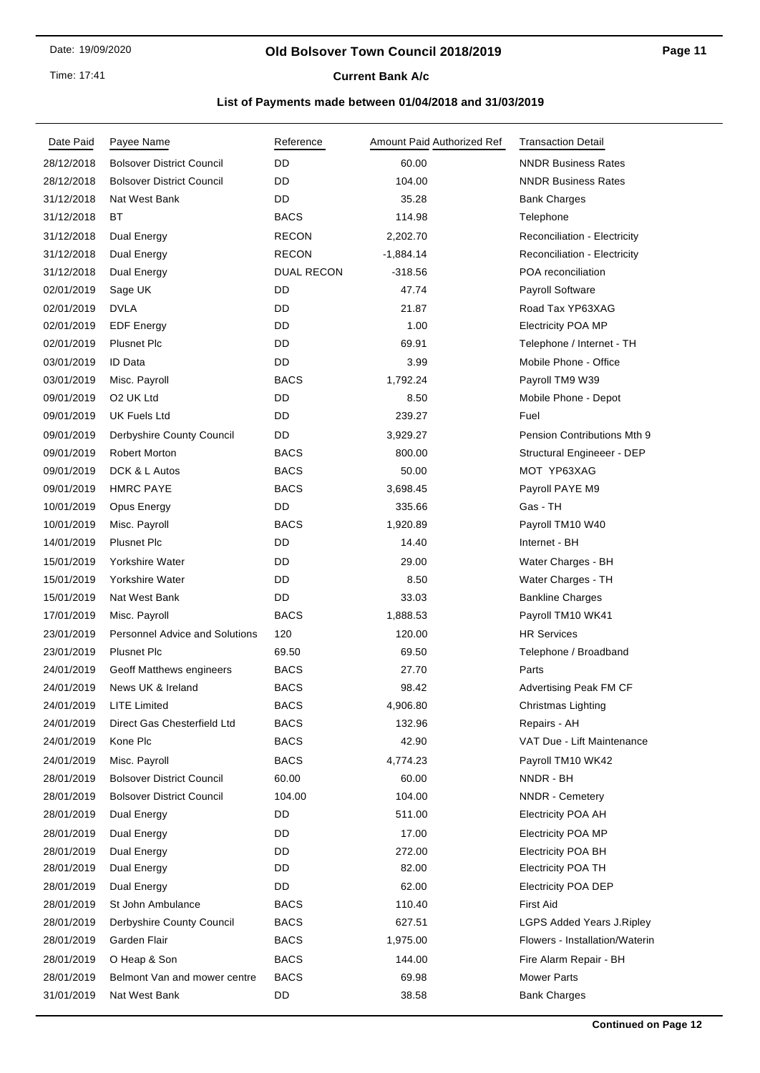#### **Old Bolsover Town Council 2018/2019**

# **Current Bank A/c**

| Date Paid  | Payee Name                            | Reference    | Amount Paid Authorized Ref | <b>Transaction Detail</b>           |
|------------|---------------------------------------|--------------|----------------------------|-------------------------------------|
| 28/12/2018 | <b>Bolsover District Council</b>      | DD           | 60.00                      | <b>NNDR Business Rates</b>          |
| 28/12/2018 | <b>Bolsover District Council</b>      | DD           | 104.00                     | <b>NNDR Business Rates</b>          |
| 31/12/2018 | Nat West Bank                         | DD           | 35.28                      | <b>Bank Charges</b>                 |
| 31/12/2018 | ВT                                    | BACS         | 114.98                     | Telephone                           |
| 31/12/2018 | Dual Energy                           | RECON        | 2,202.70                   | Reconciliation - Electricity        |
| 31/12/2018 | Dual Energy                           | <b>RECON</b> | $-1,884.14$                | <b>Reconciliation - Electricity</b> |
| 31/12/2018 | Dual Energy                           | DUAL RECON   | $-318.56$                  | POA reconciliation                  |
| 02/01/2019 | Sage UK                               | DD           | 47.74                      | <b>Payroll Software</b>             |
| 02/01/2019 | <b>DVLA</b>                           | DD           | 21.87                      | Road Tax YP63XAG                    |
| 02/01/2019 | <b>EDF Energy</b>                     | DD           | 1.00                       | <b>Electricity POA MP</b>           |
| 02/01/2019 | <b>Plusnet Plc</b>                    | DD           | 69.91                      | Telephone / Internet - TH           |
| 03/01/2019 | <b>ID Data</b>                        | DD           | 3.99                       | Mobile Phone - Office               |
| 03/01/2019 | Misc. Payroll                         | <b>BACS</b>  | 1,792.24                   | Payroll TM9 W39                     |
| 09/01/2019 | O <sub>2</sub> UK Ltd                 | DD           | 8.50                       | Mobile Phone - Depot                |
| 09/01/2019 | UK Fuels Ltd                          | DD           | 239.27                     | Fuel                                |
| 09/01/2019 | Derbyshire County Council             | DD           | 3,929.27                   | Pension Contributions Mth 9         |
| 09/01/2019 | <b>Robert Morton</b>                  | <b>BACS</b>  | 800.00                     | Structural Engineeer - DEP          |
| 09/01/2019 | DCK & L Autos                         | <b>BACS</b>  | 50.00                      | MOT YP63XAG                         |
| 09/01/2019 | <b>HMRC PAYE</b>                      | <b>BACS</b>  | 3,698.45                   | Payroll PAYE M9                     |
| 10/01/2019 | Opus Energy                           | DD           | 335.66                     | Gas - TH                            |
| 10/01/2019 | Misc. Payroll                         | <b>BACS</b>  | 1,920.89                   | Payroll TM10 W40                    |
| 14/01/2019 | <b>Plusnet Plc</b>                    | DD           | 14.40                      | Internet - BH                       |
| 15/01/2019 | Yorkshire Water                       | DD           | 29.00                      | Water Charges - BH                  |
| 15/01/2019 | Yorkshire Water                       | DD           | 8.50                       | Water Charges - TH                  |
| 15/01/2019 | Nat West Bank                         | DD           | 33.03                      | <b>Bankline Charges</b>             |
| 17/01/2019 | Misc. Payroll                         | <b>BACS</b>  | 1,888.53                   | Payroll TM10 WK41                   |
| 23/01/2019 | <b>Personnel Advice and Solutions</b> | 120          | 120.00                     | <b>HR Services</b>                  |
| 23/01/2019 | <b>Plusnet Plc</b>                    | 69.50        | 69.50                      | Telephone / Broadband               |
| 24/01/2019 | Geoff Matthews engineers              | <b>BACS</b>  | 27.70                      | Parts                               |
| 24/01/2019 | News UK & Ireland                     | <b>BACS</b>  | 98.42                      | Advertising Peak FM CF              |
| 24/01/2019 | LITE Limited                          | BACS         | 4,906.80                   | Christmas Lighting                  |
| 24/01/2019 | Direct Gas Chesterfield Ltd           | <b>BACS</b>  | 132.96                     | Repairs - AH                        |
| 24/01/2019 | Kone Plc                              | <b>BACS</b>  | 42.90                      | VAT Due - Lift Maintenance          |
| 24/01/2019 | Misc. Payroll                         | <b>BACS</b>  | 4,774.23                   | Payroll TM10 WK42                   |
| 28/01/2019 | <b>Bolsover District Council</b>      | 60.00        | 60.00                      | NNDR - BH                           |
| 28/01/2019 | <b>Bolsover District Council</b>      | 104.00       | 104.00                     | <b>NNDR</b> - Cemetery              |
| 28/01/2019 | Dual Energy                           | DD           | 511.00                     | <b>Electricity POA AH</b>           |
| 28/01/2019 | Dual Energy                           | DD           | 17.00                      | <b>Electricity POA MP</b>           |
| 28/01/2019 | <b>Dual Energy</b>                    | DD           | 272.00                     | <b>Electricity POA BH</b>           |
| 28/01/2019 | Dual Energy                           | DD           | 82.00                      | <b>Electricity POA TH</b>           |
| 28/01/2019 | Dual Energy                           | DD           | 62.00                      | <b>Electricity POA DEP</b>          |
| 28/01/2019 | St John Ambulance                     | <b>BACS</b>  | 110.40                     | <b>First Aid</b>                    |
| 28/01/2019 | Derbyshire County Council             | <b>BACS</b>  | 627.51                     | LGPS Added Years J.Ripley           |
| 28/01/2019 | Garden Flair                          | <b>BACS</b>  | 1,975.00                   | Flowers - Installation/Waterin      |
| 28/01/2019 | O Heap & Son                          | <b>BACS</b>  | 144.00                     | Fire Alarm Repair - BH              |
| 28/01/2019 | Belmont Van and mower centre          | <b>BACS</b>  | 69.98                      | <b>Mower Parts</b>                  |
| 31/01/2019 | Nat West Bank                         | DD           | 38.58                      | <b>Bank Charges</b>                 |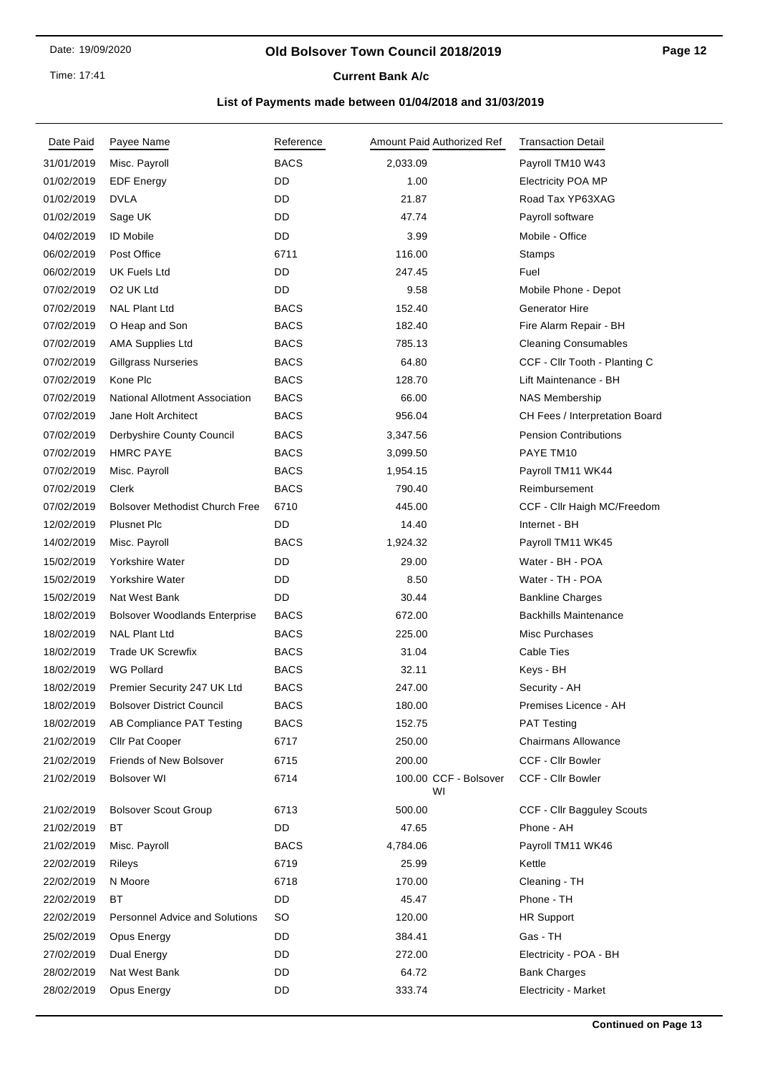Time: 17:41

# **Current Bank A/c**

| Date Paid  | Payee Name                            | Reference   | Amount Paid Authorized Ref  | <b>Transaction Detail</b>      |
|------------|---------------------------------------|-------------|-----------------------------|--------------------------------|
| 31/01/2019 | Misc. Payroll                         | <b>BACS</b> | 2,033.09                    | Payroll TM10 W43               |
| 01/02/2019 | <b>EDF Energy</b>                     | DD          | 1.00                        | <b>Electricity POA MP</b>      |
| 01/02/2019 | <b>DVLA</b>                           | DD          | 21.87                       | Road Tax YP63XAG               |
| 01/02/2019 | Sage UK                               | DD          | 47.74                       | Payroll software               |
| 04/02/2019 | <b>ID Mobile</b>                      | DD          | 3.99                        | Mobile - Office                |
| 06/02/2019 | Post Office                           | 6711        | 116.00                      | Stamps                         |
| 06/02/2019 | UK Fuels Ltd                          | DD          | 247.45                      | Fuel                           |
| 07/02/2019 | O <sub>2</sub> UK Ltd                 | DD          | 9.58                        | Mobile Phone - Depot           |
| 07/02/2019 | <b>NAL Plant Ltd</b>                  | <b>BACS</b> | 152.40                      | <b>Generator Hire</b>          |
| 07/02/2019 | O Heap and Son                        | <b>BACS</b> | 182.40                      | Fire Alarm Repair - BH         |
| 07/02/2019 | <b>AMA Supplies Ltd</b>               | <b>BACS</b> | 785.13                      | <b>Cleaning Consumables</b>    |
| 07/02/2019 | <b>Gillgrass Nurseries</b>            | <b>BACS</b> | 64.80                       | CCF - Cllr Tooth - Planting C  |
| 07/02/2019 | Kone Plc                              | <b>BACS</b> | 128.70                      | Lift Maintenance - BH          |
| 07/02/2019 | <b>National Allotment Association</b> | <b>BACS</b> | 66.00                       | <b>NAS Membership</b>          |
| 07/02/2019 | Jane Holt Architect                   | <b>BACS</b> | 956.04                      | CH Fees / Interpretation Board |
| 07/02/2019 | Derbyshire County Council             | <b>BACS</b> | 3,347.56                    | <b>Pension Contributions</b>   |
| 07/02/2019 | <b>HMRC PAYE</b>                      | <b>BACS</b> | 3,099.50                    | PAYE TM10                      |
| 07/02/2019 | Misc. Payroll                         | <b>BACS</b> | 1,954.15                    | Payroll TM11 WK44              |
| 07/02/2019 | Clerk                                 | <b>BACS</b> | 790.40                      | Reimbursement                  |
| 07/02/2019 | <b>Bolsover Methodist Church Free</b> | 6710        | 445.00                      | CCF - Cllr Haigh MC/Freedom    |
| 12/02/2019 | <b>Plusnet Plc</b>                    | DD          | 14.40                       | Internet - BH                  |
| 14/02/2019 | Misc. Payroll                         | <b>BACS</b> | 1,924.32                    | Payroll TM11 WK45              |
| 15/02/2019 | Yorkshire Water                       | DD          | 29.00                       | Water - BH - POA               |
| 15/02/2019 | Yorkshire Water                       | DD          | 8.50                        | Water - TH - POA               |
| 15/02/2019 | Nat West Bank                         | DD          | 30.44                       | <b>Bankline Charges</b>        |
| 18/02/2019 | <b>Bolsover Woodlands Enterprise</b>  | <b>BACS</b> | 672.00                      | <b>Backhills Maintenance</b>   |
| 18/02/2019 | <b>NAL Plant Ltd</b>                  | <b>BACS</b> | 225.00                      | Misc Purchases                 |
| 18/02/2019 | <b>Trade UK Screwfix</b>              | <b>BACS</b> | 31.04                       | <b>Cable Ties</b>              |
| 18/02/2019 | <b>WG Pollard</b>                     | <b>BACS</b> | 32.11                       | Keys - BH                      |
| 18/02/2019 | Premier Security 247 UK Ltd           | <b>BACS</b> | 247.00                      | Security - AH                  |
| 18/02/2019 | <b>Bolsover District Council</b>      | <b>BACS</b> | 180.00                      | Premises Licence - AH          |
| 18/02/2019 | AB Compliance PAT Testing             | <b>BACS</b> | 152.75                      | <b>PAT Testing</b>             |
| 21/02/2019 | <b>Cllr Pat Cooper</b>                | 6717        | 250.00                      | <b>Chairmans Allowance</b>     |
| 21/02/2019 | Friends of New Bolsover               | 6715        | 200.00                      | <b>CCF - Cllr Bowler</b>       |
| 21/02/2019 | <b>Bolsover WI</b>                    | 6714        | 100.00 CCF - Bolsover<br>WI | <b>CCF - Cllr Bowler</b>       |
| 21/02/2019 | <b>Bolsover Scout Group</b>           | 6713        | 500.00                      | CCF - Cllr Bagguley Scouts     |
| 21/02/2019 | ВT                                    | DD          | 47.65                       | Phone - AH                     |
| 21/02/2019 | Misc. Payroll                         | <b>BACS</b> | 4,784.06                    | Payroll TM11 WK46              |
| 22/02/2019 | Rileys                                | 6719        | 25.99                       | Kettle                         |
| 22/02/2019 | N Moore                               | 6718        | 170.00                      | Cleaning - TH                  |
| 22/02/2019 | ВT                                    | DD          | 45.47                       | Phone - TH                     |
| 22/02/2019 | <b>Personnel Advice and Solutions</b> | SO          | 120.00                      | <b>HR Support</b>              |
| 25/02/2019 | Opus Energy                           | DD          | 384.41                      | Gas - TH                       |
| 27/02/2019 | Dual Energy                           | DD          | 272.00                      | Electricity - POA - BH         |
| 28/02/2019 | Nat West Bank                         | DD          | 64.72                       | <b>Bank Charges</b>            |
| 28/02/2019 | Opus Energy                           | DD          | 333.74                      | <b>Electricity - Market</b>    |
|            |                                       |             |                             |                                |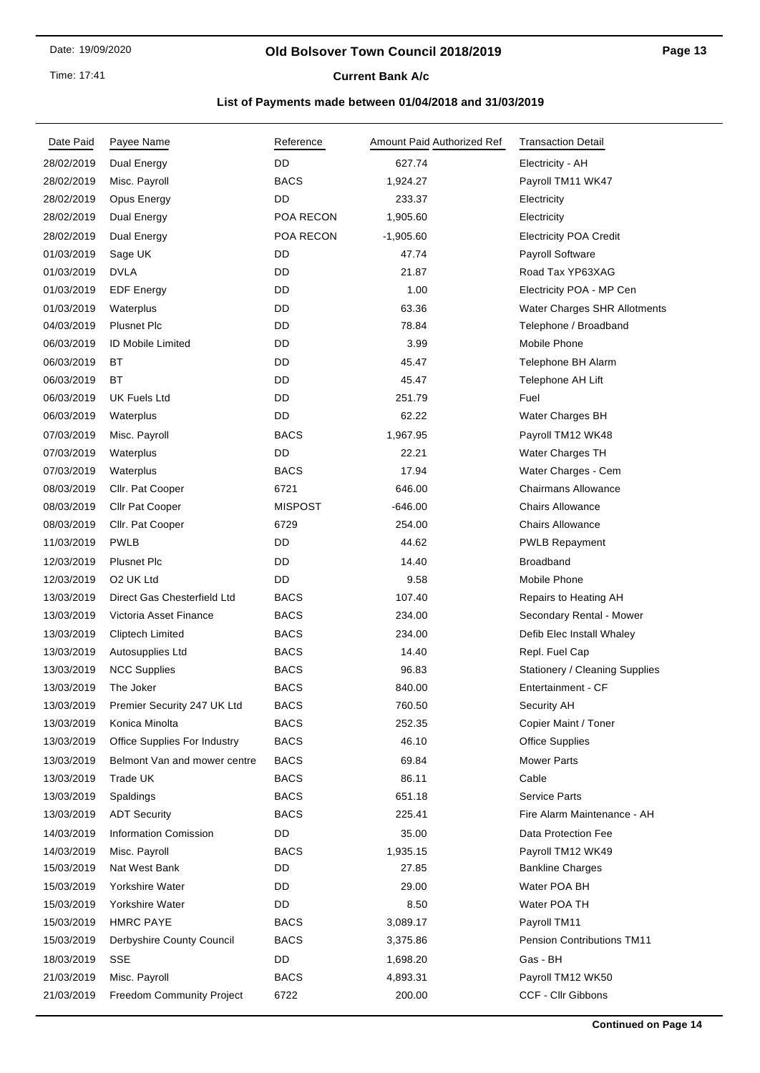#### **Old Bolsover Town Council 2018/2019**

**Current Bank A/c** 

| Date Paid  | Payee Name                          | Reference      | Amount Paid Authorized Ref | <b>Transaction Detail</b>             |
|------------|-------------------------------------|----------------|----------------------------|---------------------------------------|
| 28/02/2019 | Dual Energy                         | DD             | 627.74                     | Electricity - AH                      |
| 28/02/2019 | Misc. Payroll                       | <b>BACS</b>    | 1,924.27                   | Payroll TM11 WK47                     |
| 28/02/2019 | Opus Energy                         | DD             | 233.37                     | Electricity                           |
| 28/02/2019 | Dual Energy                         | POA RECON      | 1,905.60                   | Electricity                           |
| 28/02/2019 | Dual Energy                         | POA RECON      | $-1,905.60$                | <b>Electricity POA Credit</b>         |
| 01/03/2019 | Sage UK                             | DD             | 47.74                      | Payroll Software                      |
| 01/03/2019 | <b>DVLA</b>                         | DD             | 21.87                      | Road Tax YP63XAG                      |
| 01/03/2019 | <b>EDF Energy</b>                   | DD             | 1.00                       | Electricity POA - MP Cen              |
| 01/03/2019 | Waterplus                           | DD             | 63.36                      | Water Charges SHR Allotments          |
| 04/03/2019 | <b>Plusnet Plc</b>                  | DD             | 78.84                      | Telephone / Broadband                 |
| 06/03/2019 | <b>ID Mobile Limited</b>            | DD             | 3.99                       | Mobile Phone                          |
| 06/03/2019 | ВT                                  | DD             | 45.47                      | Telephone BH Alarm                    |
| 06/03/2019 | <b>BT</b>                           | DD             | 45.47                      | Telephone AH Lift                     |
| 06/03/2019 | UK Fuels Ltd                        | DD             | 251.79                     | Fuel                                  |
| 06/03/2019 | Waterplus                           | DD             | 62.22                      | Water Charges BH                      |
| 07/03/2019 | Misc. Payroll                       | <b>BACS</b>    | 1,967.95                   | Payroll TM12 WK48                     |
| 07/03/2019 | Waterplus                           | DD             | 22.21                      | Water Charges TH                      |
| 07/03/2019 | Waterplus                           | <b>BACS</b>    | 17.94                      | Water Charges - Cem                   |
| 08/03/2019 | Cllr. Pat Cooper                    | 6721           | 646.00                     | <b>Chairmans Allowance</b>            |
| 08/03/2019 | Cllr Pat Cooper                     | <b>MISPOST</b> | $-646.00$                  | <b>Chairs Allowance</b>               |
| 08/03/2019 | Cllr. Pat Cooper                    | 6729           | 254.00                     | <b>Chairs Allowance</b>               |
| 11/03/2019 | <b>PWLB</b>                         | DD.            | 44.62                      | <b>PWLB Repayment</b>                 |
| 12/03/2019 | <b>Plusnet Plc</b>                  | <b>DD</b>      | 14.40                      | <b>Broadband</b>                      |
| 12/03/2019 | O <sub>2</sub> UK Ltd               | DD             | 9.58                       | Mobile Phone                          |
| 13/03/2019 | Direct Gas Chesterfield Ltd         | <b>BACS</b>    | 107.40                     | Repairs to Heating AH                 |
| 13/03/2019 | Victoria Asset Finance              | <b>BACS</b>    | 234.00                     | Secondary Rental - Mower              |
| 13/03/2019 | Cliptech Limited                    | <b>BACS</b>    | 234.00                     | Defib Elec Install Whaley             |
| 13/03/2019 | Autosupplies Ltd                    | <b>BACS</b>    | 14.40                      | Repl. Fuel Cap                        |
| 13/03/2019 | <b>NCC Supplies</b>                 | <b>BACS</b>    | 96.83                      | <b>Stationery / Cleaning Supplies</b> |
| 13/03/2019 | The Joker                           | <b>BACS</b>    | 840.00                     | Entertainment - CF                    |
| 13/03/2019 | Premier Security 247 UK Ltd         | <b>BACS</b>    | 760.50                     | Security AH                           |
| 13/03/2019 | Konica Minolta                      | <b>BACS</b>    | 252.35                     | Copier Maint / Toner                  |
| 13/03/2019 | <b>Office Supplies For Industry</b> | <b>BACS</b>    | 46.10                      | <b>Office Supplies</b>                |
| 13/03/2019 | Belmont Van and mower centre        | <b>BACS</b>    | 69.84                      | <b>Mower Parts</b>                    |
| 13/03/2019 | Trade UK                            | <b>BACS</b>    | 86.11                      | Cable                                 |
| 13/03/2019 | Spaldings                           | <b>BACS</b>    | 651.18                     | <b>Service Parts</b>                  |
| 13/03/2019 | <b>ADT Security</b>                 | <b>BACS</b>    | 225.41                     | Fire Alarm Maintenance - AH           |
| 14/03/2019 | <b>Information Comission</b>        | DD             | 35.00                      | Data Protection Fee                   |
| 14/03/2019 | Misc. Payroll                       | <b>BACS</b>    | 1,935.15                   | Payroll TM12 WK49                     |
| 15/03/2019 | Nat West Bank                       | DD             | 27.85                      | <b>Bankline Charges</b>               |
| 15/03/2019 | Yorkshire Water                     | DD             | 29.00                      | Water POA BH                          |
| 15/03/2019 | Yorkshire Water                     | DD             | 8.50                       | Water POA TH                          |
| 15/03/2019 | <b>HMRC PAYE</b>                    | <b>BACS</b>    | 3,089.17                   | Payroll TM11                          |
| 15/03/2019 | Derbyshire County Council           | <b>BACS</b>    | 3,375.86                   | <b>Pension Contributions TM11</b>     |
| 18/03/2019 | <b>SSE</b>                          | DD             | 1,698.20                   | Gas - BH                              |
| 21/03/2019 | Misc. Payroll                       | <b>BACS</b>    | 4,893.31                   | Payroll TM12 WK50                     |
| 21/03/2019 | Freedom Community Project           | 6722           | 200.00                     | CCF - Cllr Gibbons                    |